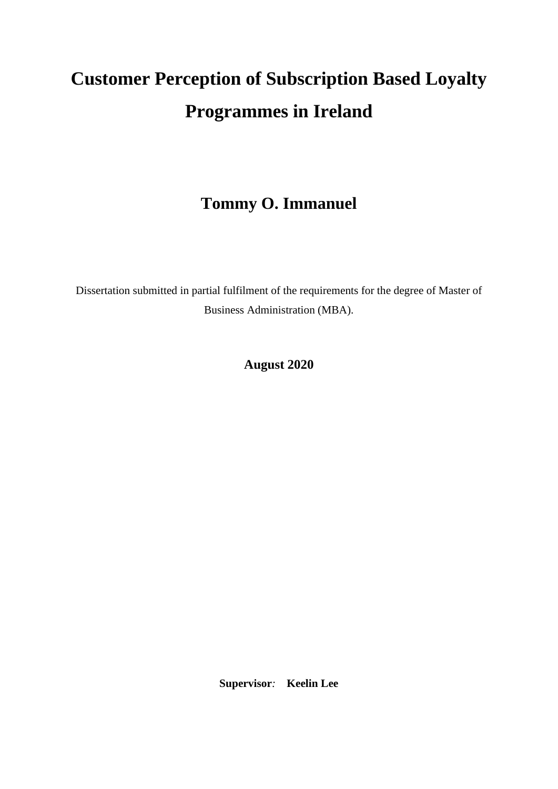# **Customer Perception of Subscription Based Loyalty Programmes in Ireland**

## **Tommy O. Immanuel**

Dissertation submitted in partial fulfilment of the requirements for the degree of Master of Business Administration (MBA).

**August 2020**

**Supervisor***:* **Keelin Lee**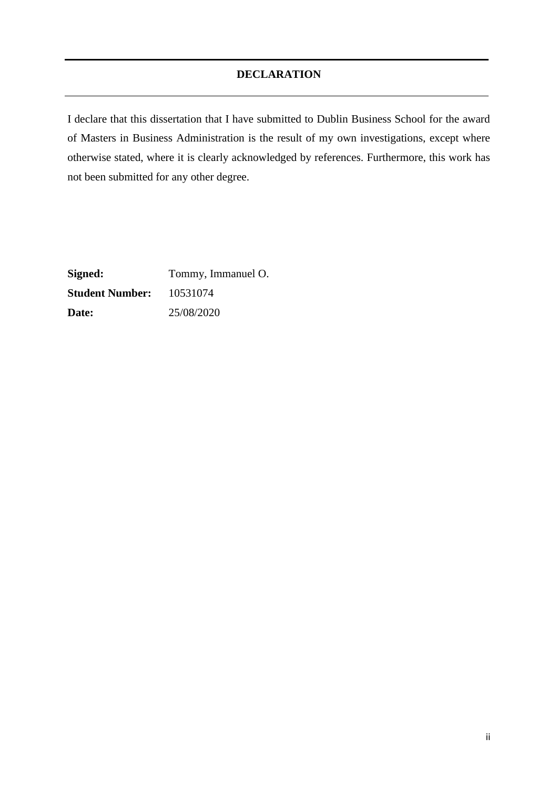## **DECLARATION**

<span id="page-1-0"></span>I declare that this dissertation that I have submitted to Dublin Business School for the award of Masters in Business Administration is the result of my own investigations, except where otherwise stated, where it is clearly acknowledged by references. Furthermore, this work has not been submitted for any other degree.

**Signed:** Tommy, Immanuel O. **Student Number:** 10531074 **Date:** 25/08/2020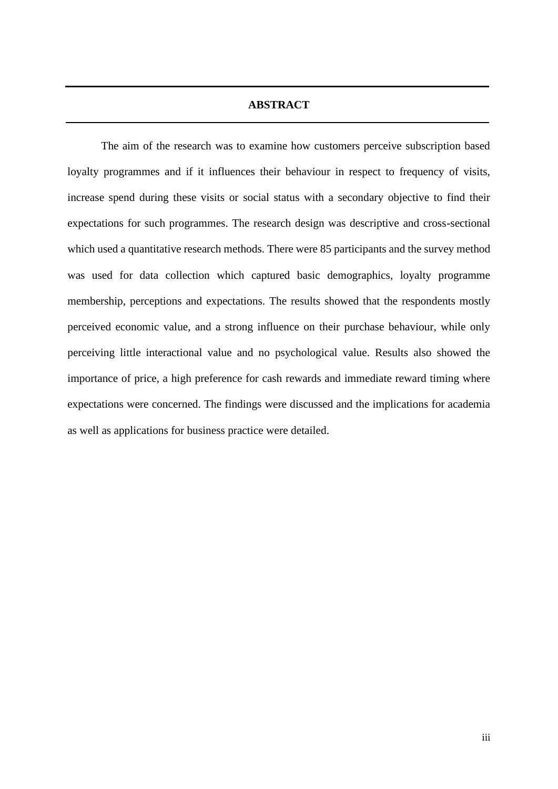#### **ABSTRACT**

<span id="page-2-0"></span>The aim of the research was to examine how customers perceive subscription based loyalty programmes and if it influences their behaviour in respect to frequency of visits, increase spend during these visits or social status with a secondary objective to find their expectations for such programmes. The research design was descriptive and cross-sectional which used a quantitative research methods. There were 85 participants and the survey method was used for data collection which captured basic demographics, loyalty programme membership, perceptions and expectations. The results showed that the respondents mostly perceived economic value, and a strong influence on their purchase behaviour, while only perceiving little interactional value and no psychological value. Results also showed the importance of price, a high preference for cash rewards and immediate reward timing where expectations were concerned. The findings were discussed and the implications for academia as well as applications for business practice were detailed.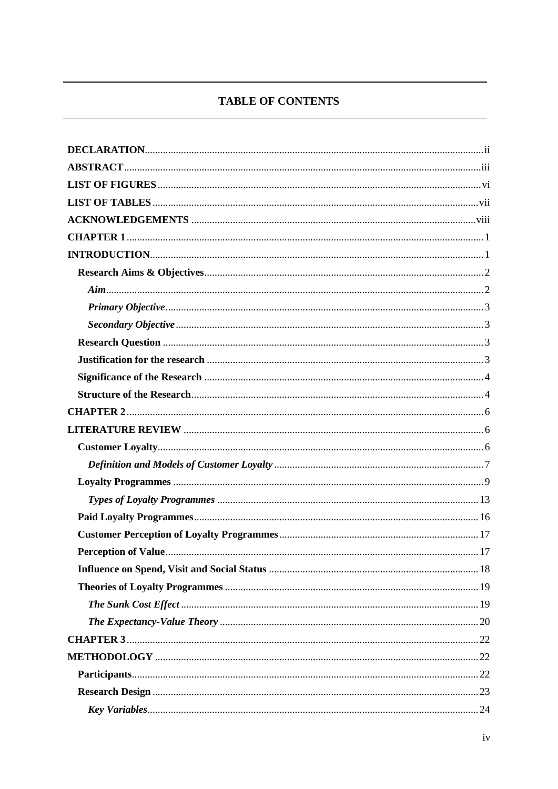## **TABLE OF CONTENTS**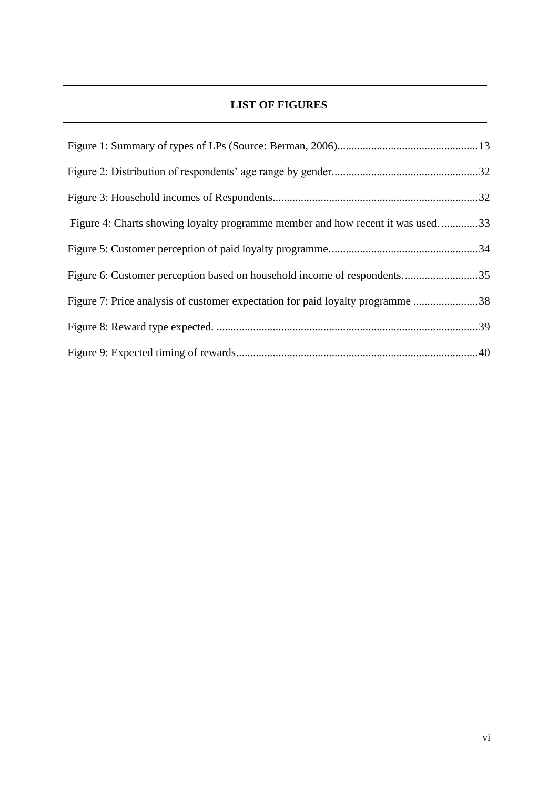## **LIST OF FIGURES**

<span id="page-5-0"></span>

| Figure 4: Charts showing loyalty programme member and how recent it was used33 |  |
|--------------------------------------------------------------------------------|--|
|                                                                                |  |
| Figure 6: Customer perception based on household income of respondents35       |  |
| Figure 7: Price analysis of customer expectation for paid loyalty programme 38 |  |
|                                                                                |  |
|                                                                                |  |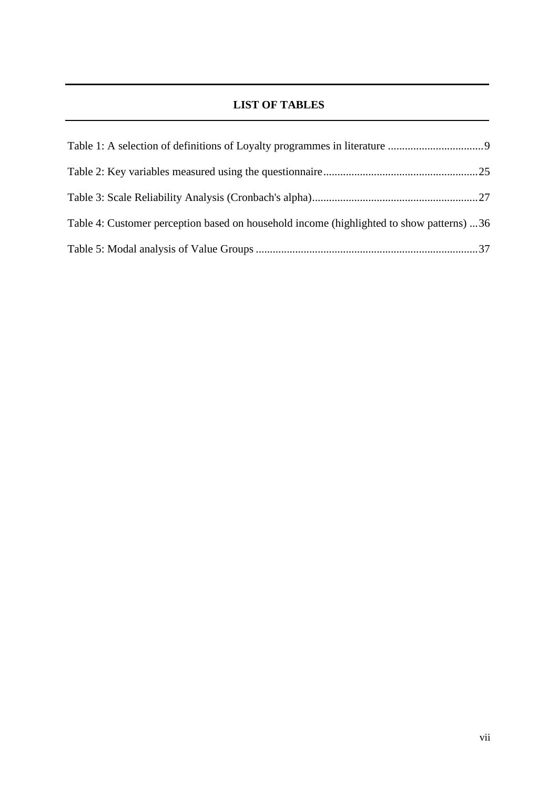## **LIST OF TABLES**

<span id="page-6-0"></span>

| Table 4: Customer perception based on household income (highlighted to show patterns) 36 |  |
|------------------------------------------------------------------------------------------|--|
|                                                                                          |  |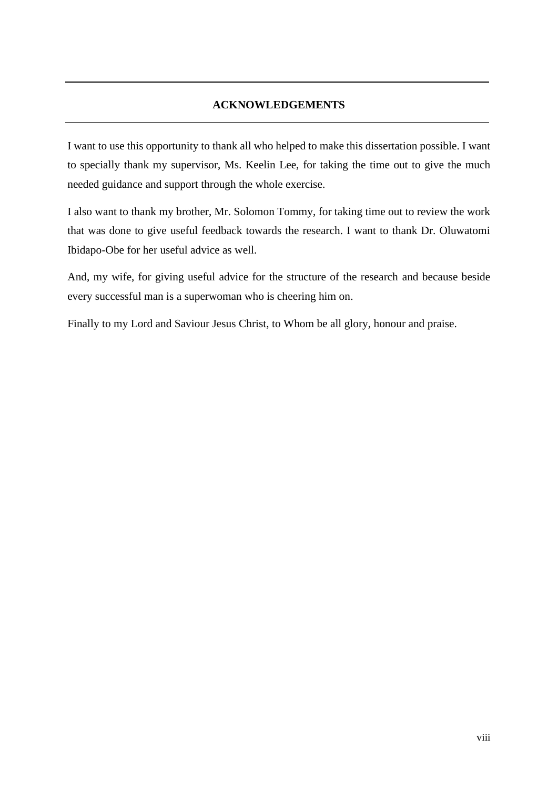## **ACKNOWLEDGEMENTS**

<span id="page-7-0"></span>I want to use this opportunity to thank all who helped to make this dissertation possible. I want to specially thank my supervisor, Ms. Keelin Lee, for taking the time out to give the much needed guidance and support through the whole exercise.

I also want to thank my brother, Mr. Solomon Tommy, for taking time out to review the work that was done to give useful feedback towards the research. I want to thank Dr. Oluwatomi Ibidapo-Obe for her useful advice as well.

And, my wife, for giving useful advice for the structure of the research and because beside every successful man is a superwoman who is cheering him on.

Finally to my Lord and Saviour Jesus Christ, to Whom be all glory, honour and praise.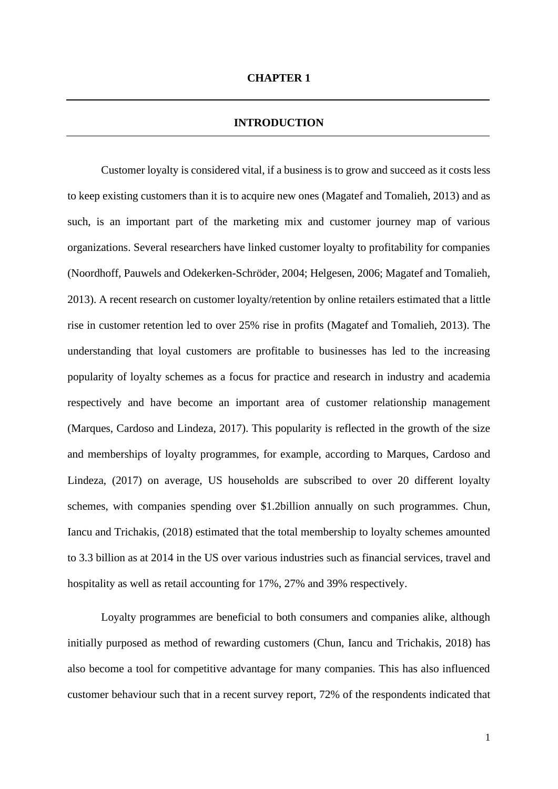#### **INTRODUCTION**

<span id="page-8-1"></span><span id="page-8-0"></span>Customer loyalty is considered vital, if a business is to grow and succeed as it costs less to keep existing customers than it is to acquire new ones (Magatef and Tomalieh, 2013) and as such, is an important part of the marketing mix and customer journey map of various organizations. Several researchers have linked customer loyalty to profitability for companies (Noordhoff, Pauwels and Odekerken-Schröder, 2004; Helgesen, 2006; Magatef and Tomalieh, 2013). A recent research on customer loyalty/retention by online retailers estimated that a little rise in customer retention led to over 25% rise in profits (Magatef and Tomalieh, 2013). The understanding that loyal customers are profitable to businesses has led to the increasing popularity of loyalty schemes as a focus for practice and research in industry and academia respectively and have become an important area of customer relationship management (Marques, Cardoso and Lindeza, 2017). This popularity is reflected in the growth of the size and memberships of loyalty programmes, for example, according to Marques, Cardoso and Lindeza, (2017) on average, US households are subscribed to over 20 different loyalty schemes, with companies spending over \$1.2billion annually on such programmes. Chun, Iancu and Trichakis, (2018) estimated that the total membership to loyalty schemes amounted to 3.3 billion as at 2014 in the US over various industries such as financial services, travel and hospitality as well as retail accounting for 17%, 27% and 39% respectively.

Loyalty programmes are beneficial to both consumers and companies alike, although initially purposed as method of rewarding customers (Chun, Iancu and Trichakis, 2018) has also become a tool for competitive advantage for many companies. This has also influenced customer behaviour such that in a recent survey report, 72% of the respondents indicated that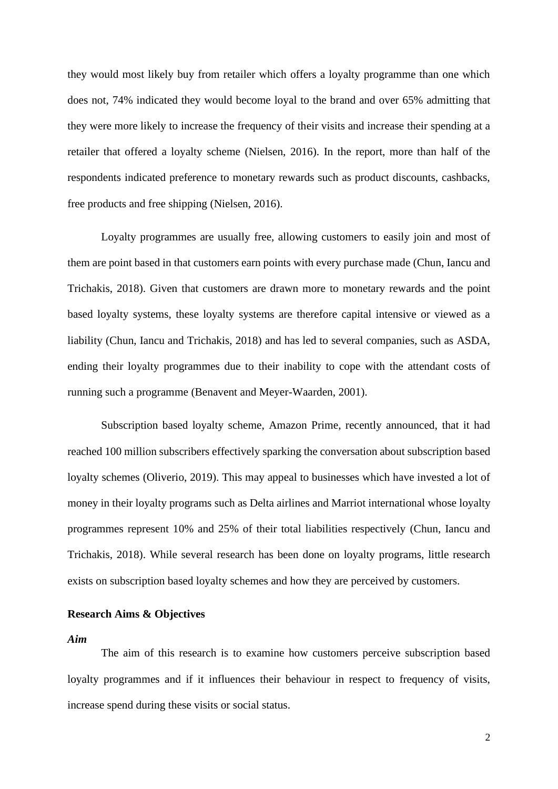they would most likely buy from retailer which offers a loyalty programme than one which does not, 74% indicated they would become loyal to the brand and over 65% admitting that they were more likely to increase the frequency of their visits and increase their spending at a retailer that offered a loyalty scheme (Nielsen, 2016). In the report, more than half of the respondents indicated preference to monetary rewards such as product discounts, cashbacks, free products and free shipping (Nielsen, 2016).

Loyalty programmes are usually free, allowing customers to easily join and most of them are point based in that customers earn points with every purchase made (Chun, Iancu and Trichakis, 2018). Given that customers are drawn more to monetary rewards and the point based loyalty systems, these loyalty systems are therefore capital intensive or viewed as a liability (Chun, Iancu and Trichakis, 2018) and has led to several companies, such as ASDA, ending their loyalty programmes due to their inability to cope with the attendant costs of running such a programme (Benavent and Meyer-Waarden, 2001).

Subscription based loyalty scheme, Amazon Prime, recently announced, that it had reached 100 million subscribers effectively sparking the conversation about subscription based loyalty schemes (Oliverio, 2019). This may appeal to businesses which have invested a lot of money in their loyalty programs such as Delta airlines and Marriot international whose loyalty programmes represent 10% and 25% of their total liabilities respectively (Chun, Iancu and Trichakis, 2018). While several research has been done on loyalty programs, little research exists on subscription based loyalty schemes and how they are perceived by customers.

## <span id="page-9-0"></span>**Research Aims & Objectives**

<span id="page-9-1"></span>*Aim*

The aim of this research is to examine how customers perceive subscription based loyalty programmes and if it influences their behaviour in respect to frequency of visits, increase spend during these visits or social status.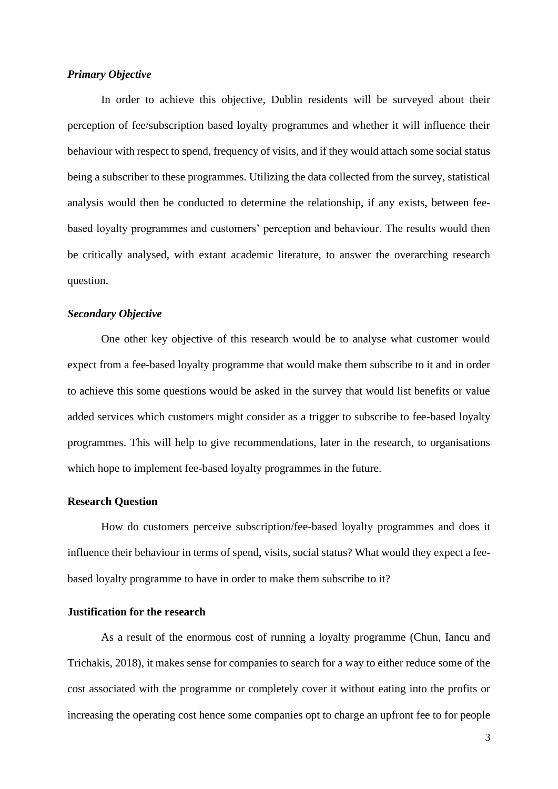#### <span id="page-10-0"></span>*Primary Objective*

In order to achieve this objective, Dublin residents will be surveyed about their perception of fee/subscription based loyalty programmes and whether it will influence their behaviour with respect to spend, frequency of visits, and if they would attach some social status being a subscriber to these programmes. Utilizing the data collected from the survey, statistical analysis would then be conducted to determine the relationship, if any exists, between feebased loyalty programmes and customers' perception and behaviour. The results would then be critically analysed, with extant academic literature, to answer the overarching research question.

## <span id="page-10-1"></span>*Secondary Objective*

One other key objective of this research would be to analyse what customer would expect from a fee-based loyalty programme that would make them subscribe to it and in order to achieve this some questions would be asked in the survey that would list benefits or value added services which customers might consider as a trigger to subscribe to fee-based loyalty programmes. This will help to give recommendations, later in the research, to organisations which hope to implement fee-based loyalty programmes in the future.

#### <span id="page-10-2"></span>**Research Question**

How do customers perceive subscription/fee-based loyalty programmes and does it influence their behaviour in terms of spend, visits, social status? What would they expect a feebased loyalty programme to have in order to make them subscribe to it?

## <span id="page-10-3"></span>**Justification for the research**

As a result of the enormous cost of running a loyalty programme (Chun, Iancu and Trichakis, 2018), it makes sense for companies to search for a way to either reduce some of the cost associated with the programme or completely cover it without eating into the profits or increasing the operating cost hence some companies opt to charge an upfront fee to for people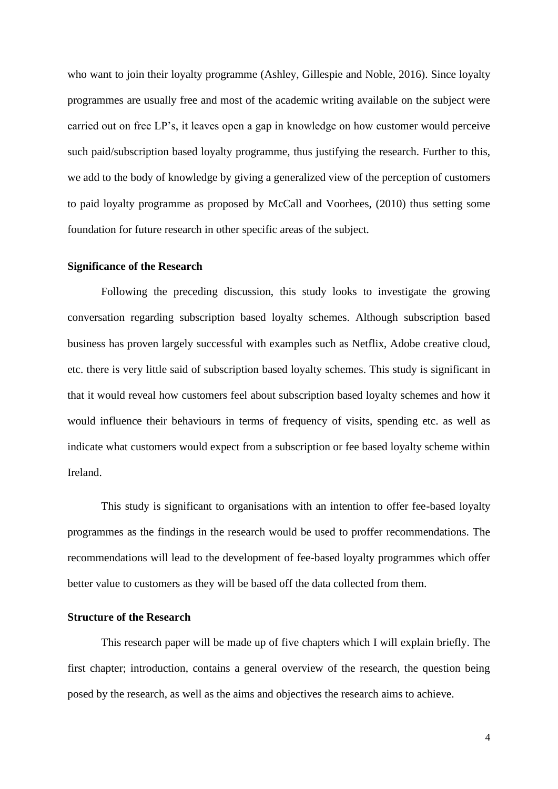who want to join their loyalty programme (Ashley, Gillespie and Noble, 2016). Since loyalty programmes are usually free and most of the academic writing available on the subject were carried out on free LP's, it leaves open a gap in knowledge on how customer would perceive such paid/subscription based loyalty programme, thus justifying the research. Further to this, we add to the body of knowledge by giving a generalized view of the perception of customers to paid loyalty programme as proposed by McCall and Voorhees, (2010) thus setting some foundation for future research in other specific areas of the subject.

#### <span id="page-11-0"></span>**Significance of the Research**

Following the preceding discussion, this study looks to investigate the growing conversation regarding subscription based loyalty schemes. Although subscription based business has proven largely successful with examples such as Netflix, Adobe creative cloud, etc. there is very little said of subscription based loyalty schemes. This study is significant in that it would reveal how customers feel about subscription based loyalty schemes and how it would influence their behaviours in terms of frequency of visits, spending etc. as well as indicate what customers would expect from a subscription or fee based loyalty scheme within Ireland.

This study is significant to organisations with an intention to offer fee-based loyalty programmes as the findings in the research would be used to proffer recommendations. The recommendations will lead to the development of fee-based loyalty programmes which offer better value to customers as they will be based off the data collected from them.

## <span id="page-11-1"></span>**Structure of the Research**

This research paper will be made up of five chapters which I will explain briefly. The first chapter; introduction, contains a general overview of the research, the question being posed by the research, as well as the aims and objectives the research aims to achieve.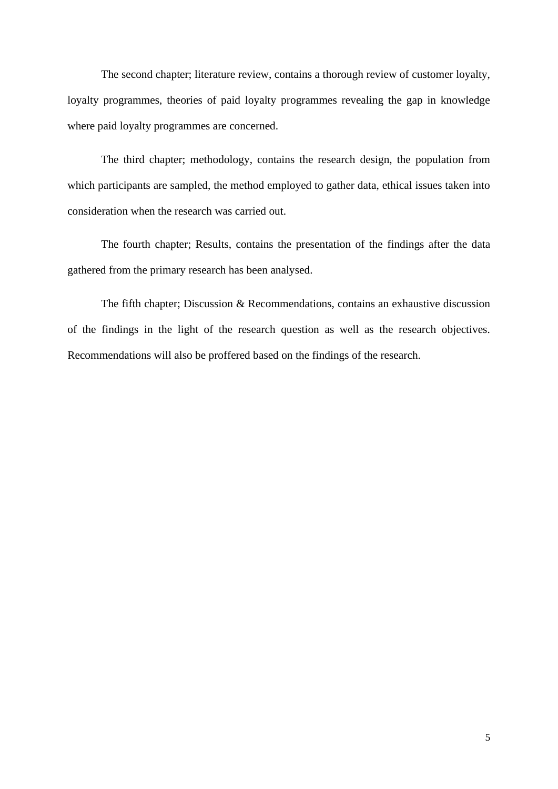The second chapter; literature review, contains a thorough review of customer loyalty, loyalty programmes, theories of paid loyalty programmes revealing the gap in knowledge where paid loyalty programmes are concerned.

The third chapter; methodology, contains the research design, the population from which participants are sampled, the method employed to gather data, ethical issues taken into consideration when the research was carried out.

The fourth chapter; Results, contains the presentation of the findings after the data gathered from the primary research has been analysed.

The fifth chapter; Discussion & Recommendations, contains an exhaustive discussion of the findings in the light of the research question as well as the research objectives. Recommendations will also be proffered based on the findings of the research.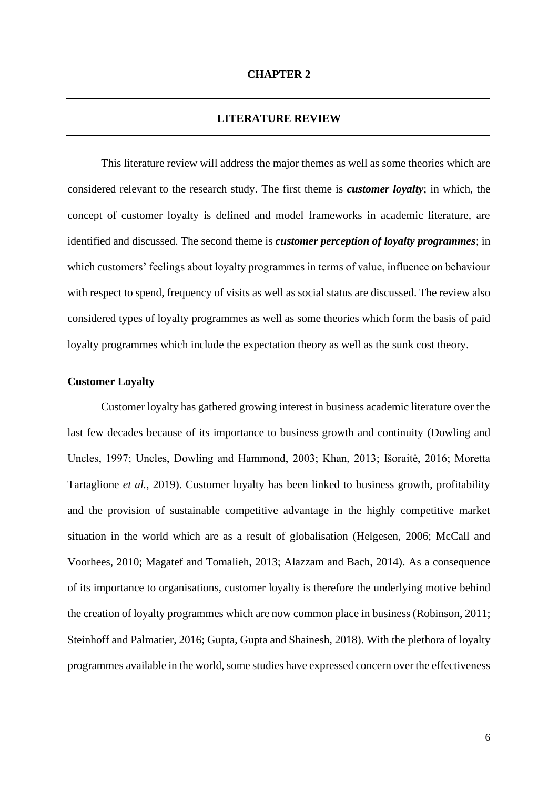## **LITERATURE REVIEW**

<span id="page-13-1"></span><span id="page-13-0"></span>This literature review will address the major themes as well as some theories which are considered relevant to the research study. The first theme is *customer loyalty*; in which, the concept of customer loyalty is defined and model frameworks in academic literature, are identified and discussed. The second theme is *customer perception of loyalty programmes*; in which customers' feelings about loyalty programmes in terms of value, influence on behaviour with respect to spend, frequency of visits as well as social status are discussed. The review also considered types of loyalty programmes as well as some theories which form the basis of paid loyalty programmes which include the expectation theory as well as the sunk cost theory.

#### <span id="page-13-2"></span>**Customer Loyalty**

Customer loyalty has gathered growing interest in business academic literature over the last few decades because of its importance to business growth and continuity (Dowling and Uncles, 1997; Uncles, Dowling and Hammond, 2003; Khan, 2013; Išoraitė, 2016; Moretta Tartaglione *et al.*, 2019). Customer loyalty has been linked to business growth, profitability and the provision of sustainable competitive advantage in the highly competitive market situation in the world which are as a result of globalisation (Helgesen, 2006; McCall and Voorhees, 2010; Magatef and Tomalieh, 2013; Alazzam and Bach, 2014). As a consequence of its importance to organisations, customer loyalty is therefore the underlying motive behind the creation of loyalty programmes which are now common place in business (Robinson, 2011; Steinhoff and Palmatier, 2016; Gupta, Gupta and Shainesh, 2018). With the plethora of loyalty programmes available in the world, some studies have expressed concern over the effectiveness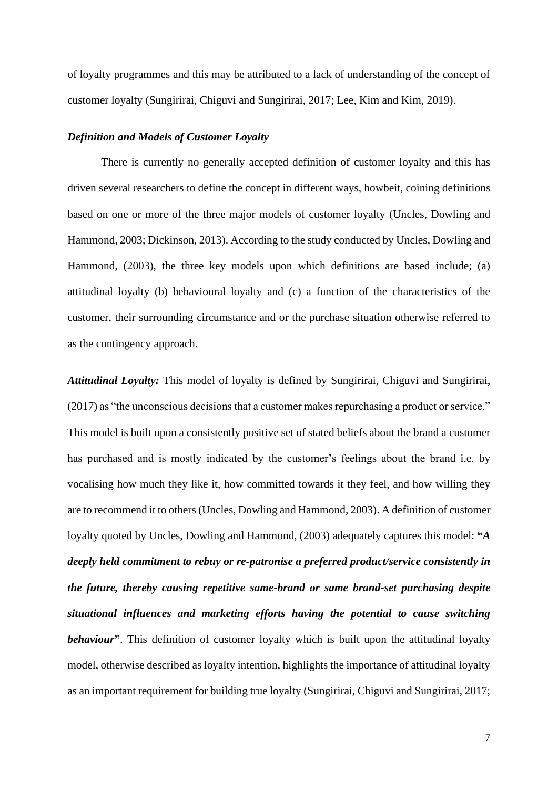of loyalty programmes and this may be attributed to a lack of understanding of the concept of customer loyalty (Sungirirai, Chiguvi and Sungirirai, 2017; Lee, Kim and Kim, 2019).

#### <span id="page-14-0"></span>*Definition and Models of Customer Loyalty*

There is currently no generally accepted definition of customer loyalty and this has driven several researchers to define the concept in different ways, howbeit, coining definitions based on one or more of the three major models of customer loyalty (Uncles, Dowling and Hammond, 2003; Dickinson, 2013). According to the study conducted by Uncles, Dowling and Hammond, (2003), the three key models upon which definitions are based include; (a) attitudinal loyalty (b) behavioural loyalty and (c) a function of the characteristics of the customer, their surrounding circumstance and or the purchase situation otherwise referred to as the contingency approach.

*Attitudinal Loyalty:* This model of loyalty is defined by Sungirirai, Chiguvi and Sungirirai, (2017) as "the unconscious decisions that a customer makes repurchasing a product or service." This model is built upon a consistently positive set of stated beliefs about the brand a customer has purchased and is mostly indicated by the customer's feelings about the brand i.e. by vocalising how much they like it, how committed towards it they feel, and how willing they are to recommend it to others (Uncles, Dowling and Hammond, 2003). A definition of customer loyalty quoted by Uncles, Dowling and Hammond, (2003) adequately captures this model: **"***A deeply held commitment to rebuy or re-patronise a preferred product/service consistently in the future, thereby causing repetitive same-brand or same brand-set purchasing despite situational influences and marketing efforts having the potential to cause switching*  **behaviour**. This definition of customer loyalty which is built upon the attitudinal loyalty model, otherwise described as loyalty intention, highlights the importance of attitudinal loyalty as an important requirement for building true loyalty (Sungirirai, Chiguvi and Sungirirai, 2017;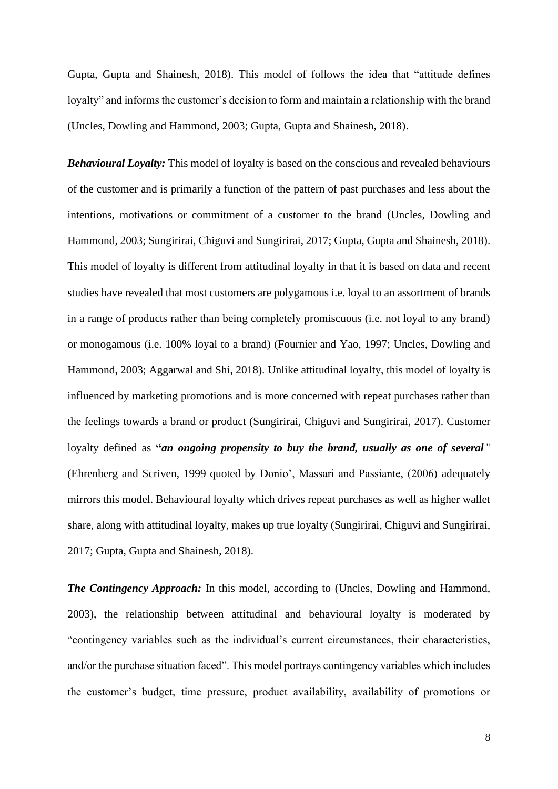Gupta, Gupta and Shainesh, 2018). This model of follows the idea that "attitude defines loyalty" and informs the customer's decision to form and maintain a relationship with the brand (Uncles, Dowling and Hammond, 2003; Gupta, Gupta and Shainesh, 2018).

*Behavioural Loyalty:* This model of loyalty is based on the conscious and revealed behaviours of the customer and is primarily a function of the pattern of past purchases and less about the intentions, motivations or commitment of a customer to the brand (Uncles, Dowling and Hammond, 2003; Sungirirai, Chiguvi and Sungirirai, 2017; Gupta, Gupta and Shainesh, 2018). This model of loyalty is different from attitudinal loyalty in that it is based on data and recent studies have revealed that most customers are polygamous i.e. loyal to an assortment of brands in a range of products rather than being completely promiscuous (i.e. not loyal to any brand) or monogamous (i.e. 100% loyal to a brand) (Fournier and Yao, 1997; Uncles, Dowling and Hammond, 2003; Aggarwal and Shi, 2018). Unlike attitudinal loyalty, this model of loyalty is influenced by marketing promotions and is more concerned with repeat purchases rather than the feelings towards a brand or product (Sungirirai, Chiguvi and Sungirirai, 2017). Customer loyalty defined as **"***an ongoing propensity to buy the brand, usually as one of several"* (Ehrenberg and Scriven, 1999 quoted by Donio', Massari and Passiante, (2006) adequately mirrors this model. Behavioural loyalty which drives repeat purchases as well as higher wallet share, along with attitudinal loyalty, makes up true loyalty (Sungirirai, Chiguvi and Sungirirai, 2017; Gupta, Gupta and Shainesh, 2018).

*The Contingency Approach:* In this model, according to (Uncles, Dowling and Hammond, 2003), the relationship between attitudinal and behavioural loyalty is moderated by "contingency variables such as the individual's current circumstances, their characteristics, and/or the purchase situation faced". This model portrays contingency variables which includes the customer's budget, time pressure, product availability, availability of promotions or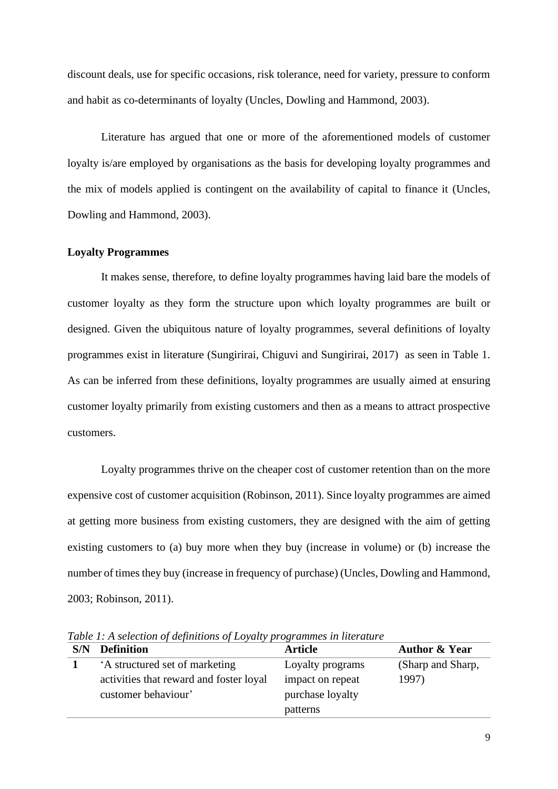discount deals, use for specific occasions, risk tolerance, need for variety, pressure to conform and habit as co-determinants of loyalty (Uncles, Dowling and Hammond, 2003).

Literature has argued that one or more of the aforementioned models of customer loyalty is/are employed by organisations as the basis for developing loyalty programmes and the mix of models applied is contingent on the availability of capital to finance it (Uncles, Dowling and Hammond, 2003).

#### <span id="page-16-0"></span>**Loyalty Programmes**

It makes sense, therefore, to define loyalty programmes having laid bare the models of customer loyalty as they form the structure upon which loyalty programmes are built or designed. Given the ubiquitous nature of loyalty programmes, several definitions of loyalty programmes exist in literature (Sungirirai, Chiguvi and Sungirirai, 2017) as seen in Table 1. As can be inferred from these definitions, loyalty programmes are usually aimed at ensuring customer loyalty primarily from existing customers and then as a means to attract prospective customers.

Loyalty programmes thrive on the cheaper cost of customer retention than on the more expensive cost of customer acquisition (Robinson, 2011). Since loyalty programmes are aimed at getting more business from existing customers, they are designed with the aim of getting existing customers to (a) buy more when they buy (increase in volume) or (b) increase the number of times they buy (increase in frequency of purchase) (Uncles, Dowling and Hammond, 2003; Robinson, 2011).

| S/N | <b>Definition</b>                       | <b>Article</b>   | <b>Author &amp; Year</b> |
|-----|-----------------------------------------|------------------|--------------------------|
|     | A structured set of marketing           | Loyalty programs | (Sharp and Sharp,        |
|     | activities that reward and foster loyal | impact on repeat | 1997)                    |
|     | customer behaviour'                     | purchase loyalty |                          |
|     |                                         | patterns         |                          |

<span id="page-16-1"></span>*Table 1: A selection of definitions of Loyalty programmes in literature*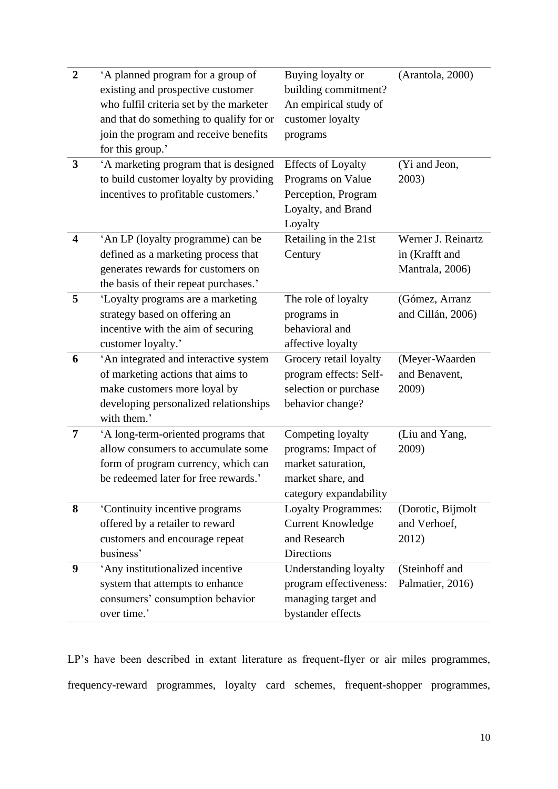| $\overline{2}$          | 'A planned program for a group of       | Buying loyalty or          | (Arantola, 2000)   |
|-------------------------|-----------------------------------------|----------------------------|--------------------|
|                         | existing and prospective customer       | building commitment?       |                    |
|                         | who fulfil criteria set by the marketer | An empirical study of      |                    |
|                         | and that do something to qualify for or | customer loyalty           |                    |
|                         | join the program and receive benefits   | programs                   |                    |
|                         | for this group.'                        |                            |                    |
| 3                       | 'A marketing program that is designed   | <b>Effects of Loyalty</b>  | (Yi and Jeon,      |
|                         | to build customer loyalty by providing  | Programs on Value          | 2003)              |
|                         | incentives to profitable customers.'    | Perception, Program        |                    |
|                         |                                         | Loyalty, and Brand         |                    |
|                         |                                         | Loyalty                    |                    |
| $\overline{\mathbf{4}}$ | 'An LP (loyalty programme) can be       | Retailing in the 21st      | Werner J. Reinartz |
|                         | defined as a marketing process that     | Century                    | in (Krafft and     |
|                         | generates rewards for customers on      |                            | Mantrala, 2006)    |
|                         | the basis of their repeat purchases.'   |                            |                    |
| 5                       | 'Loyalty programs are a marketing       | The role of loyalty        | (Gómez, Arranz     |
|                         | strategy based on offering an           | programs in                | and Cillán, 2006)  |
|                         | incentive with the aim of securing      | behavioral and             |                    |
|                         | customer loyalty.'                      | affective loyalty          |                    |
| 6                       | 'An integrated and interactive system   | Grocery retail loyalty     | (Meyer-Waarden     |
|                         | of marketing actions that aims to       | program effects: Self-     | and Benavent,      |
|                         | make customers more loyal by            | selection or purchase      | 2009)              |
|                         | developing personalized relationships   | behavior change?           |                    |
|                         | with them.'                             |                            |                    |
| 7                       | 'A long-term-oriented programs that     | Competing loyalty          | (Liu and Yang,     |
|                         | allow consumers to accumulate some      | programs: Impact of        | 2009)              |
|                         | form of program currency, which can     | market saturation,         |                    |
|                         | be redeemed later for free rewards.'    | market share, and          |                    |
|                         |                                         | category expandability     |                    |
| 8                       | 'Continuity incentive programs          | <b>Loyalty Programmes:</b> | (Dorotic, Bijmolt  |
|                         | offered by a retailer to reward         | <b>Current Knowledge</b>   | and Verhoef,       |
|                         | customers and encourage repeat          | and Research               | 2012)              |
|                         | business'                               | Directions                 |                    |
| 9                       | 'Any institutionalized incentive        | Understanding loyalty      | (Steinhoff and     |
|                         | system that attempts to enhance         | program effectiveness:     | Palmatier, 2016)   |
|                         | consumers' consumption behavior         | managing target and        |                    |
|                         | over time.'                             | bystander effects          |                    |

LP's have been described in extant literature as frequent-flyer or air miles programmes, frequency-reward programmes, loyalty card schemes, frequent-shopper programmes,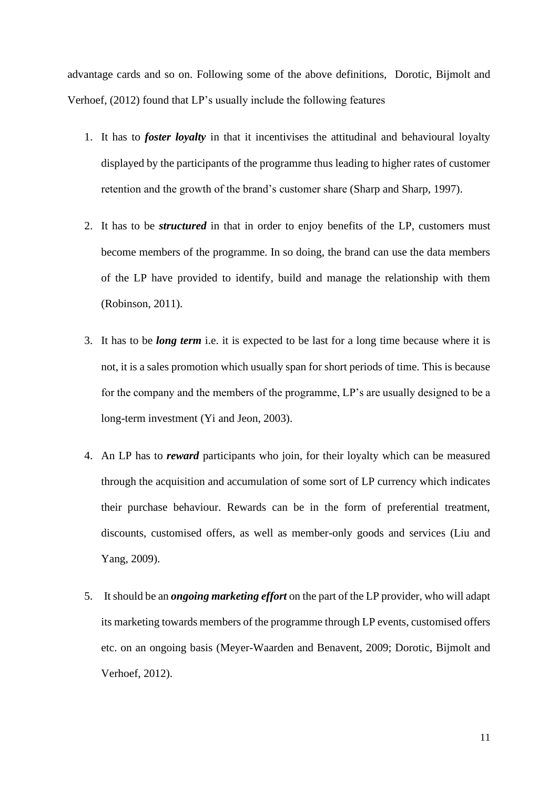advantage cards and so on. Following some of the above definitions, Dorotic, Bijmolt and Verhoef, (2012) found that LP's usually include the following features

- 1. It has to *foster loyalty* in that it incentivises the attitudinal and behavioural loyalty displayed by the participants of the programme thus leading to higher rates of customer retention and the growth of the brand's customer share (Sharp and Sharp, 1997).
- 2. It has to be *structured* in that in order to enjoy benefits of the LP, customers must become members of the programme. In so doing, the brand can use the data members of the LP have provided to identify, build and manage the relationship with them (Robinson, 2011).
- 3. It has to be *long term* i.e. it is expected to be last for a long time because where it is not, it is a sales promotion which usually span for short periods of time. This is because for the company and the members of the programme, LP's are usually designed to be a long-term investment (Yi and Jeon, 2003).
- 4. An LP has to *reward* participants who join, for their loyalty which can be measured through the acquisition and accumulation of some sort of LP currency which indicates their purchase behaviour. Rewards can be in the form of preferential treatment, discounts, customised offers, as well as member-only goods and services (Liu and Yang, 2009).
- 5. It should be an *ongoing marketing effort* on the part of the LP provider, who will adapt its marketing towards members of the programme through LP events, customised offers etc. on an ongoing basis (Meyer-Waarden and Benavent, 2009; Dorotic, Bijmolt and Verhoef, 2012).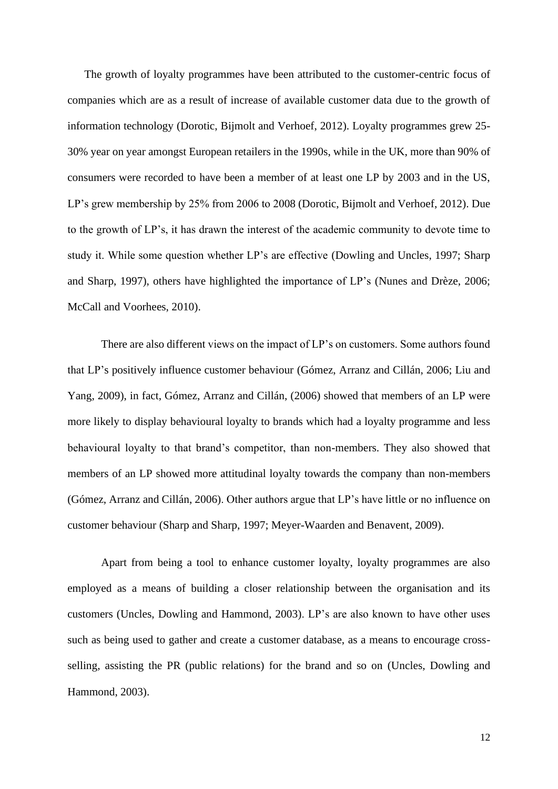The growth of loyalty programmes have been attributed to the customer-centric focus of companies which are as a result of increase of available customer data due to the growth of information technology (Dorotic, Bijmolt and Verhoef, 2012). Loyalty programmes grew 25- 30% year on year amongst European retailers in the 1990s, while in the UK, more than 90% of consumers were recorded to have been a member of at least one LP by 2003 and in the US, LP's grew membership by 25% from 2006 to 2008 (Dorotic, Bijmolt and Verhoef, 2012). Due to the growth of LP's, it has drawn the interest of the academic community to devote time to study it. While some question whether LP's are effective (Dowling and Uncles, 1997; Sharp and Sharp, 1997), others have highlighted the importance of LP's (Nunes and Drèze, 2006; McCall and Voorhees, 2010).

There are also different views on the impact of LP's on customers. Some authors found that LP's positively influence customer behaviour (Gómez, Arranz and Cillán, 2006; Liu and Yang, 2009), in fact, Gómez, Arranz and Cillán, (2006) showed that members of an LP were more likely to display behavioural loyalty to brands which had a loyalty programme and less behavioural loyalty to that brand's competitor, than non-members. They also showed that members of an LP showed more attitudinal loyalty towards the company than non-members (Gómez, Arranz and Cillán, 2006). Other authors argue that LP's have little or no influence on customer behaviour (Sharp and Sharp, 1997; Meyer-Waarden and Benavent, 2009).

Apart from being a tool to enhance customer loyalty, loyalty programmes are also employed as a means of building a closer relationship between the organisation and its customers (Uncles, Dowling and Hammond, 2003). LP's are also known to have other uses such as being used to gather and create a customer database, as a means to encourage crossselling, assisting the PR (public relations) for the brand and so on (Uncles, Dowling and Hammond, 2003).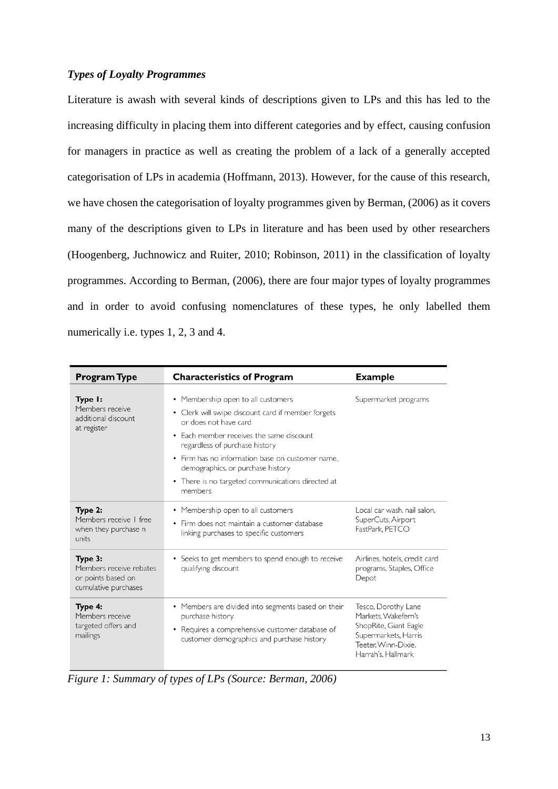## <span id="page-20-0"></span>*Types of Loyalty Programmes*

Literature is awash with several kinds of descriptions given to LPs and this has led to the increasing difficulty in placing them into different categories and by effect, causing confusion for managers in practice as well as creating the problem of a lack of a generally accepted categorisation of LPs in academia (Hoffmann, 2013). However, for the cause of this research, we have chosen the categorisation of loyalty programmes given by Berman, (2006) as it covers many of the descriptions given to LPs in literature and has been used by other researchers (Hoogenberg, Juchnowicz and Ruiter, 2010; Robinson, 2011) in the classification of loyalty programmes. According to Berman, (2006), there are four major types of loyalty programmes and in order to avoid confusing nomenclatures of these types, he only labelled them numerically i.e. types 1, 2, 3 and 4.

| <b>Program Type</b>                                                              | <b>Characteristics of Program</b>                                                                                                                                                                                                                                                                                                                                   | <b>Example</b>                                                                                                                           |  |  |
|----------------------------------------------------------------------------------|---------------------------------------------------------------------------------------------------------------------------------------------------------------------------------------------------------------------------------------------------------------------------------------------------------------------------------------------------------------------|------------------------------------------------------------------------------------------------------------------------------------------|--|--|
| Type I:<br>Members receive<br>additional discount<br>at register                 | • Membership open to all customers<br>• Clerk will swipe discount card if member forgets<br>or does not have card<br>Each member receives the same discount<br>$\bullet$<br>regardless of purchase history<br>• Firm has no information base on customer name,<br>demographics, or purchase history<br>• There is no targeted communications directed at<br>members | Supermarket programs                                                                                                                     |  |  |
| Type 2:<br>Members receive I free<br>when they purchase n<br>units               | • Membership open to all customers<br>Firm does not maintain a customer database<br>$\bullet$<br>linking purchases to specific customers                                                                                                                                                                                                                            | Local car wash, nail salon.<br>SuperCuts, Airport<br>FastPark PETCO                                                                      |  |  |
| Type 3:<br>Members receive rebates<br>or points based on<br>cumulative purchases | • Seeks to get members to spend enough to receive<br>qualifying discount                                                                                                                                                                                                                                                                                            | Airlines, hotels, credit card<br>programs, Staples, Office<br>Depot                                                                      |  |  |
| Type 4:<br>Members receive<br>targeted offers and<br>mailings                    | • Members are divided into segments based on their<br>purchase history<br>Requires a comprehensive customer database of<br>$\bullet$<br>customer demographics and purchase history                                                                                                                                                                                  | Tesco, Dorothy Lane<br>Markets. Wakefern's<br>ShopRite, Giant Eagle<br>Supermarkets, Harris<br>Teeter. Winn-Dixie.<br>Harrah's, Hallmark |  |  |

<span id="page-20-1"></span>*Figure 1: Summary of types of LPs (Source: Berman, 2006)*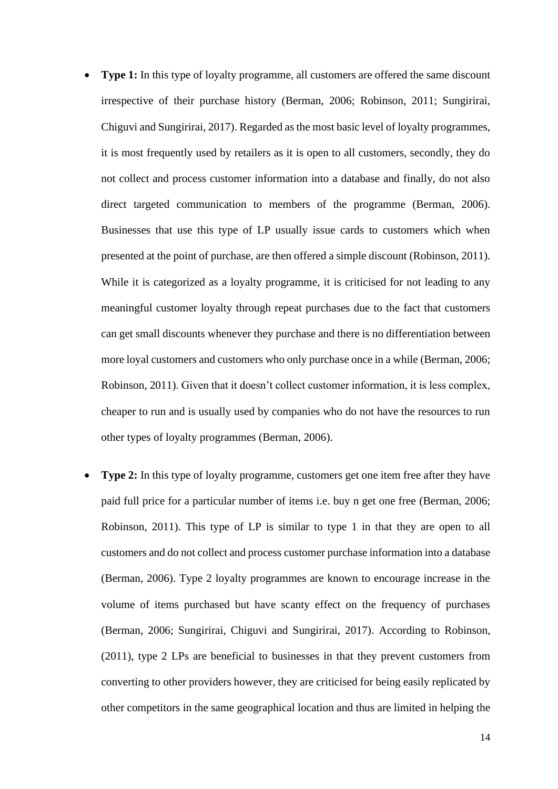- **Type 1:** In this type of loyalty programme, all customers are offered the same discount irrespective of their purchase history (Berman, 2006; Robinson, 2011; Sungirirai, Chiguvi and Sungirirai, 2017). Regarded as the most basic level of loyalty programmes, it is most frequently used by retailers as it is open to all customers, secondly, they do not collect and process customer information into a database and finally, do not also direct targeted communication to members of the programme (Berman, 2006). Businesses that use this type of LP usually issue cards to customers which when presented at the point of purchase, are then offered a simple discount (Robinson, 2011). While it is categorized as a loyalty programme, it is criticised for not leading to any meaningful customer loyalty through repeat purchases due to the fact that customers can get small discounts whenever they purchase and there is no differentiation between more loyal customers and customers who only purchase once in a while (Berman, 2006; Robinson, 2011). Given that it doesn't collect customer information, it is less complex, cheaper to run and is usually used by companies who do not have the resources to run other types of loyalty programmes (Berman, 2006).
- **Type 2:** In this type of loyalty programme, customers get one item free after they have paid full price for a particular number of items i.e. buy n get one free (Berman, 2006; Robinson, 2011). This type of LP is similar to type 1 in that they are open to all customers and do not collect and process customer purchase information into a database (Berman, 2006). Type 2 loyalty programmes are known to encourage increase in the volume of items purchased but have scanty effect on the frequency of purchases (Berman, 2006; Sungirirai, Chiguvi and Sungirirai, 2017). According to Robinson, (2011), type 2 LPs are beneficial to businesses in that they prevent customers from converting to other providers however, they are criticised for being easily replicated by other competitors in the same geographical location and thus are limited in helping the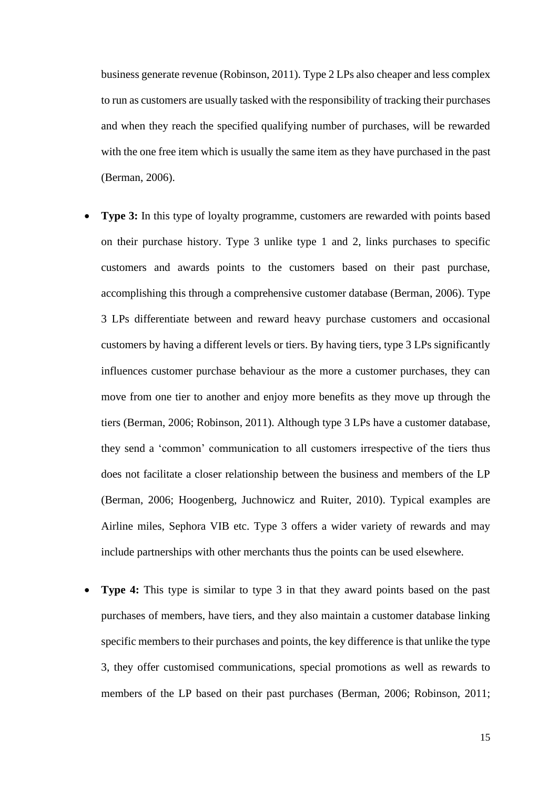business generate revenue (Robinson, 2011). Type 2 LPs also cheaper and less complex to run as customers are usually tasked with the responsibility of tracking their purchases and when they reach the specified qualifying number of purchases, will be rewarded with the one free item which is usually the same item as they have purchased in the past (Berman, 2006).

- **Type 3:** In this type of loyalty programme, customers are rewarded with points based on their purchase history. Type 3 unlike type 1 and 2, links purchases to specific customers and awards points to the customers based on their past purchase, accomplishing this through a comprehensive customer database (Berman, 2006). Type 3 LPs differentiate between and reward heavy purchase customers and occasional customers by having a different levels or tiers. By having tiers, type 3 LPs significantly influences customer purchase behaviour as the more a customer purchases, they can move from one tier to another and enjoy more benefits as they move up through the tiers (Berman, 2006; Robinson, 2011). Although type 3 LPs have a customer database, they send a 'common' communication to all customers irrespective of the tiers thus does not facilitate a closer relationship between the business and members of the LP (Berman, 2006; Hoogenberg, Juchnowicz and Ruiter, 2010). Typical examples are Airline miles, Sephora VIB etc. Type 3 offers a wider variety of rewards and may include partnerships with other merchants thus the points can be used elsewhere.
- **Type 4:** This type is similar to type 3 in that they award points based on the past purchases of members, have tiers, and they also maintain a customer database linking specific members to their purchases and points, the key difference is that unlike the type 3, they offer customised communications, special promotions as well as rewards to members of the LP based on their past purchases (Berman, 2006; Robinson, 2011;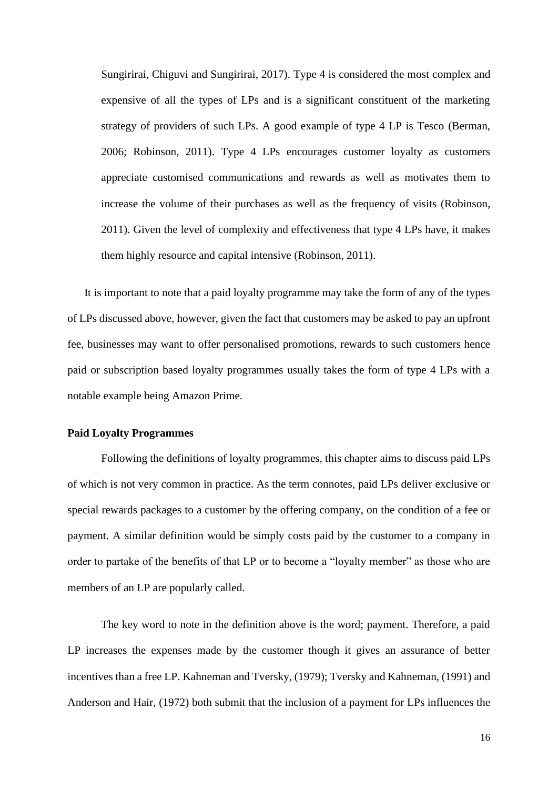Sungirirai, Chiguvi and Sungirirai, 2017). Type 4 is considered the most complex and expensive of all the types of LPs and is a significant constituent of the marketing strategy of providers of such LPs. A good example of type 4 LP is Tesco (Berman, 2006; Robinson, 2011). Type 4 LPs encourages customer loyalty as customers appreciate customised communications and rewards as well as motivates them to increase the volume of their purchases as well as the frequency of visits (Robinson, 2011). Given the level of complexity and effectiveness that type 4 LPs have, it makes them highly resource and capital intensive (Robinson, 2011).

It is important to note that a paid loyalty programme may take the form of any of the types of LPs discussed above, however, given the fact that customers may be asked to pay an upfront fee, businesses may want to offer personalised promotions, rewards to such customers hence paid or subscription based loyalty programmes usually takes the form of type 4 LPs with a notable example being Amazon Prime.

#### <span id="page-23-0"></span>**Paid Loyalty Programmes**

Following the definitions of loyalty programmes, this chapter aims to discuss paid LPs of which is not very common in practice. As the term connotes, paid LPs deliver exclusive or special rewards packages to a customer by the offering company, on the condition of a fee or payment. A similar definition would be simply costs paid by the customer to a company in order to partake of the benefits of that LP or to become a "loyalty member" as those who are members of an LP are popularly called.

The key word to note in the definition above is the word; payment. Therefore, a paid LP increases the expenses made by the customer though it gives an assurance of better incentives than a free LP. Kahneman and Tversky, (1979); Tversky and Kahneman, (1991) and Anderson and Hair, (1972) both submit that the inclusion of a payment for LPs influences the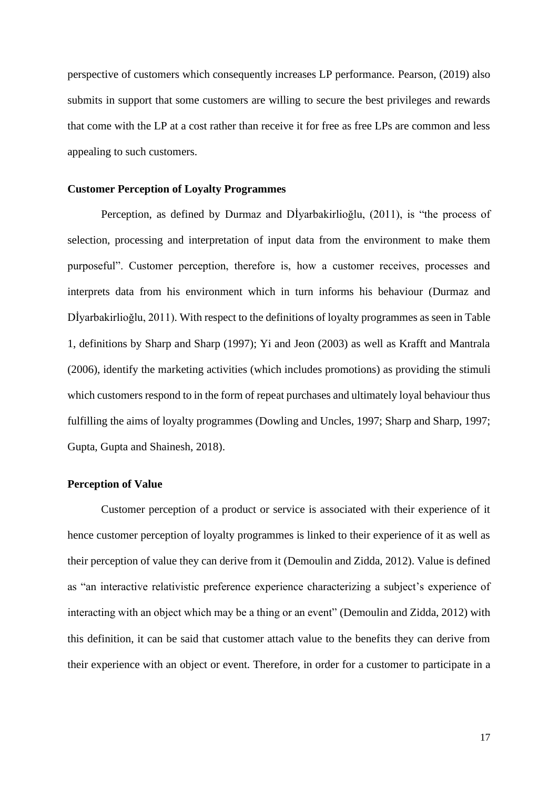perspective of customers which consequently increases LP performance. Pearson, (2019) also submits in support that some customers are willing to secure the best privileges and rewards that come with the LP at a cost rather than receive it for free as free LPs are common and less appealing to such customers.

#### <span id="page-24-0"></span>**Customer Perception of Loyalty Programmes**

Perception, as defined by Durmaz and Dİyarbakirlioğlu, (2011), is "the process of selection, processing and interpretation of input data from the environment to make them purposeful". Customer perception, therefore is, how a customer receives, processes and interprets data from his environment which in turn informs his behaviour (Durmaz and Dİyarbakirlioğlu, 2011). With respect to the definitions of loyalty programmes as seen in Table 1, definitions by Sharp and Sharp (1997); Yi and Jeon (2003) as well as Krafft and Mantrala (2006), identify the marketing activities (which includes promotions) as providing the stimuli which customers respond to in the form of repeat purchases and ultimately loyal behaviour thus fulfilling the aims of loyalty programmes (Dowling and Uncles, 1997; Sharp and Sharp, 1997; Gupta, Gupta and Shainesh, 2018).

#### <span id="page-24-1"></span>**Perception of Value**

Customer perception of a product or service is associated with their experience of it hence customer perception of loyalty programmes is linked to their experience of it as well as their perception of value they can derive from it (Demoulin and Zidda, 2012). Value is defined as "an interactive relativistic preference experience characterizing a subject's experience of interacting with an object which may be a thing or an event" (Demoulin and Zidda, 2012) with this definition, it can be said that customer attach value to the benefits they can derive from their experience with an object or event. Therefore, in order for a customer to participate in a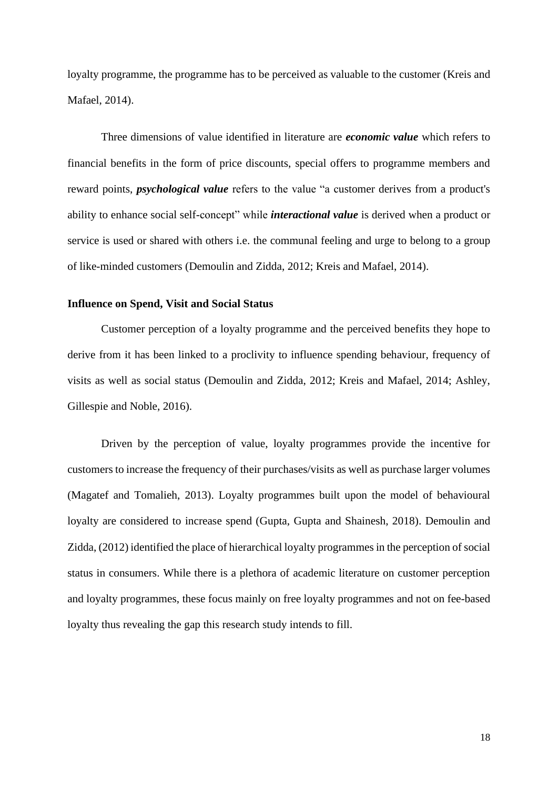loyalty programme, the programme has to be perceived as valuable to the customer (Kreis and Mafael, 2014).

Three dimensions of value identified in literature are *economic value* which refers to financial benefits in the form of price discounts, special offers to programme members and reward points, *psychological value* refers to the value "a customer derives from a product's ability to enhance social self-concept" while *interactional value* is derived when a product or service is used or shared with others i.e. the communal feeling and urge to belong to a group of like-minded customers (Demoulin and Zidda, 2012; Kreis and Mafael, 2014).

## <span id="page-25-0"></span>**Influence on Spend, Visit and Social Status**

Customer perception of a loyalty programme and the perceived benefits they hope to derive from it has been linked to a proclivity to influence spending behaviour, frequency of visits as well as social status (Demoulin and Zidda, 2012; Kreis and Mafael, 2014; Ashley, Gillespie and Noble, 2016).

Driven by the perception of value, loyalty programmes provide the incentive for customers to increase the frequency of their purchases/visits as well as purchase larger volumes (Magatef and Tomalieh, 2013). Loyalty programmes built upon the model of behavioural loyalty are considered to increase spend (Gupta, Gupta and Shainesh, 2018). Demoulin and Zidda, (2012) identified the place of hierarchical loyalty programmes in the perception of social status in consumers. While there is a plethora of academic literature on customer perception and loyalty programmes, these focus mainly on free loyalty programmes and not on fee-based loyalty thus revealing the gap this research study intends to fill.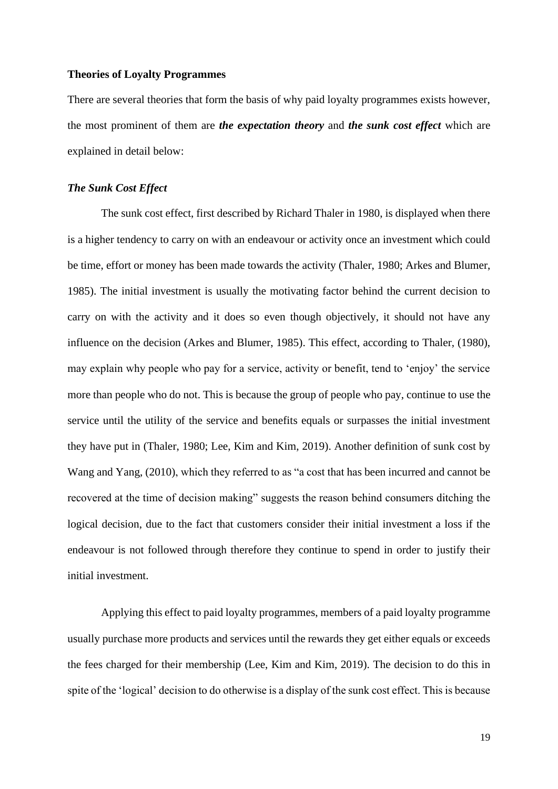#### <span id="page-26-0"></span>**Theories of Loyalty Programmes**

There are several theories that form the basis of why paid loyalty programmes exists however, the most prominent of them are *the expectation theory* and *the sunk cost effect* which are explained in detail below:

#### <span id="page-26-1"></span>*The Sunk Cost Effect*

The sunk cost effect, first described by Richard Thaler in 1980, is displayed when there is a higher tendency to carry on with an endeavour or activity once an investment which could be time, effort or money has been made towards the activity (Thaler, 1980; Arkes and Blumer, 1985). The initial investment is usually the motivating factor behind the current decision to carry on with the activity and it does so even though objectively, it should not have any influence on the decision (Arkes and Blumer, 1985). This effect, according to Thaler, (1980), may explain why people who pay for a service, activity or benefit, tend to 'enjoy' the service more than people who do not. This is because the group of people who pay, continue to use the service until the utility of the service and benefits equals or surpasses the initial investment they have put in (Thaler, 1980; Lee, Kim and Kim, 2019). Another definition of sunk cost by Wang and Yang, (2010), which they referred to as "a cost that has been incurred and cannot be recovered at the time of decision making" suggests the reason behind consumers ditching the logical decision, due to the fact that customers consider their initial investment a loss if the endeavour is not followed through therefore they continue to spend in order to justify their initial investment.

Applying this effect to paid loyalty programmes, members of a paid loyalty programme usually purchase more products and services until the rewards they get either equals or exceeds the fees charged for their membership (Lee, Kim and Kim, 2019). The decision to do this in spite of the 'logical' decision to do otherwise is a display of the sunk cost effect. This is because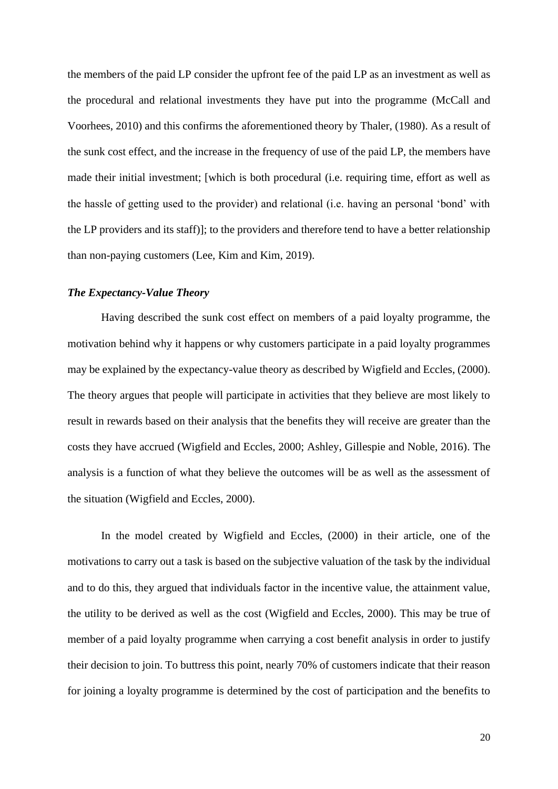the members of the paid LP consider the upfront fee of the paid LP as an investment as well as the procedural and relational investments they have put into the programme (McCall and Voorhees, 2010) and this confirms the aforementioned theory by Thaler, (1980). As a result of the sunk cost effect, and the increase in the frequency of use of the paid LP, the members have made their initial investment; [which is both procedural (i.e. requiring time, effort as well as the hassle of getting used to the provider) and relational (i.e. having an personal 'bond' with the LP providers and its staff)]; to the providers and therefore tend to have a better relationship than non-paying customers (Lee, Kim and Kim, 2019).

## <span id="page-27-0"></span>*The Expectancy-Value Theory*

Having described the sunk cost effect on members of a paid loyalty programme, the motivation behind why it happens or why customers participate in a paid loyalty programmes may be explained by the expectancy-value theory as described by Wigfield and Eccles, (2000). The theory argues that people will participate in activities that they believe are most likely to result in rewards based on their analysis that the benefits they will receive are greater than the costs they have accrued (Wigfield and Eccles, 2000; Ashley, Gillespie and Noble, 2016). The analysis is a function of what they believe the outcomes will be as well as the assessment of the situation (Wigfield and Eccles, 2000).

In the model created by Wigfield and Eccles, (2000) in their article, one of the motivations to carry out a task is based on the subjective valuation of the task by the individual and to do this, they argued that individuals factor in the incentive value, the attainment value, the utility to be derived as well as the cost (Wigfield and Eccles, 2000). This may be true of member of a paid loyalty programme when carrying a cost benefit analysis in order to justify their decision to join. To buttress this point, nearly 70% of customers indicate that their reason for joining a loyalty programme is determined by the cost of participation and the benefits to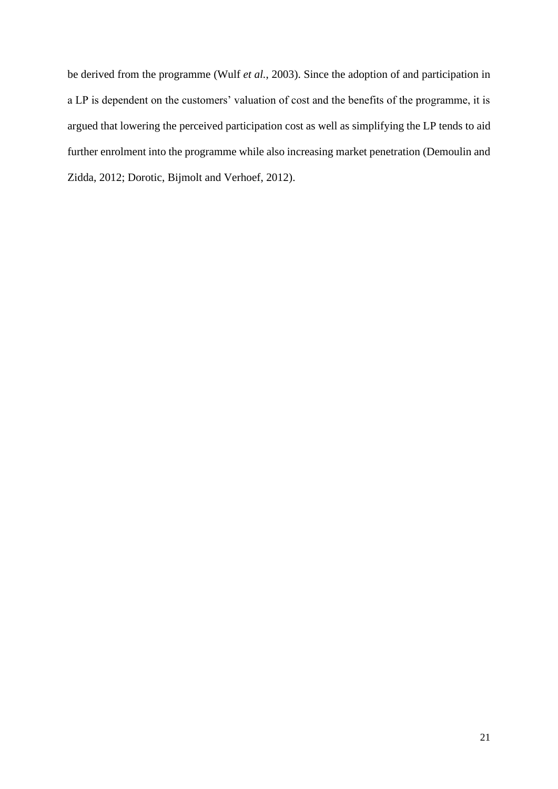be derived from the programme (Wulf *et al.*, 2003). Since the adoption of and participation in a LP is dependent on the customers' valuation of cost and the benefits of the programme, it is argued that lowering the perceived participation cost as well as simplifying the LP tends to aid further enrolment into the programme while also increasing market penetration (Demoulin and Zidda, 2012; Dorotic, Bijmolt and Verhoef, 2012).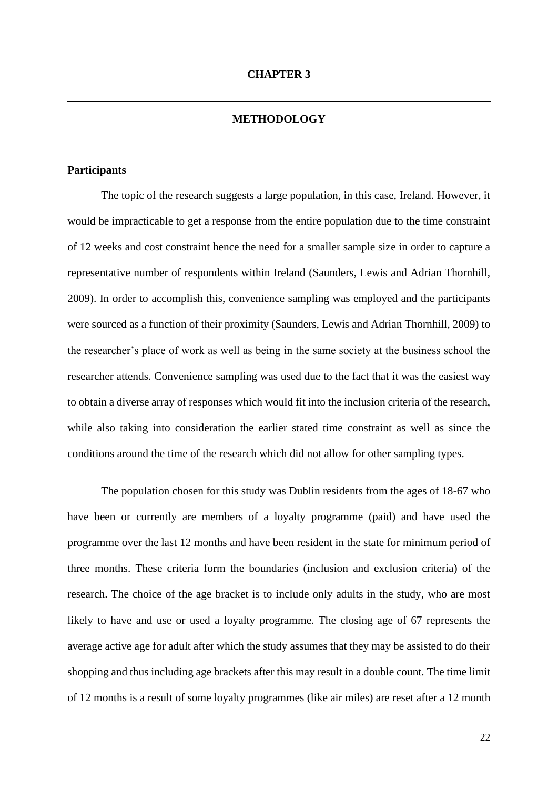#### **METHODOLOGY**

#### <span id="page-29-2"></span><span id="page-29-1"></span><span id="page-29-0"></span>**Participants**

The topic of the research suggests a large population, in this case, Ireland. However, it would be impracticable to get a response from the entire population due to the time constraint of 12 weeks and cost constraint hence the need for a smaller sample size in order to capture a representative number of respondents within Ireland (Saunders, Lewis and Adrian Thornhill, 2009). In order to accomplish this, convenience sampling was employed and the participants were sourced as a function of their proximity (Saunders, Lewis and Adrian Thornhill, 2009) to the researcher's place of work as well as being in the same society at the business school the researcher attends. Convenience sampling was used due to the fact that it was the easiest way to obtain a diverse array of responses which would fit into the inclusion criteria of the research, while also taking into consideration the earlier stated time constraint as well as since the conditions around the time of the research which did not allow for other sampling types.

The population chosen for this study was Dublin residents from the ages of 18-67 who have been or currently are members of a loyalty programme (paid) and have used the programme over the last 12 months and have been resident in the state for minimum period of three months. These criteria form the boundaries (inclusion and exclusion criteria) of the research. The choice of the age bracket is to include only adults in the study, who are most likely to have and use or used a loyalty programme. The closing age of 67 represents the average active age for adult after which the study assumes that they may be assisted to do their shopping and thus including age brackets after this may result in a double count. The time limit of 12 months is a result of some loyalty programmes (like air miles) are reset after a 12 month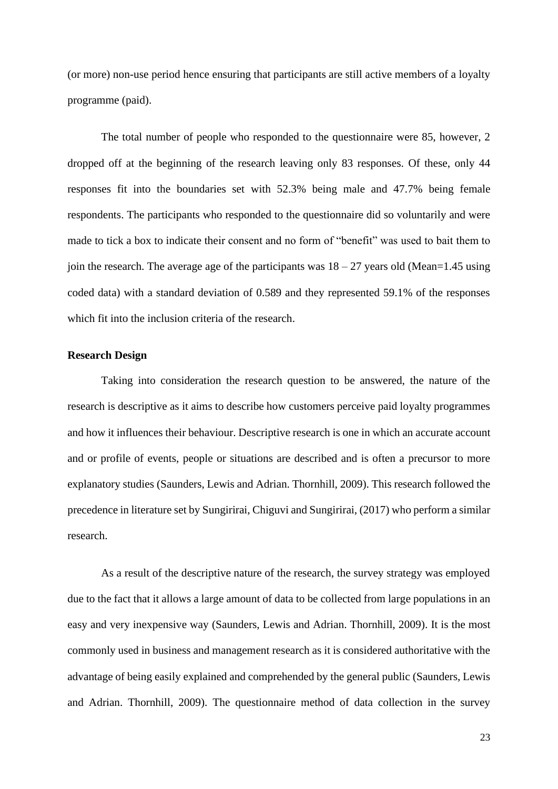(or more) non-use period hence ensuring that participants are still active members of a loyalty programme (paid).

The total number of people who responded to the questionnaire were 85, however, 2 dropped off at the beginning of the research leaving only 83 responses. Of these, only 44 responses fit into the boundaries set with 52.3% being male and 47.7% being female respondents. The participants who responded to the questionnaire did so voluntarily and were made to tick a box to indicate their consent and no form of "benefit" was used to bait them to join the research. The average age of the participants was  $18 - 27$  years old (Mean=1.45 using coded data) with a standard deviation of 0.589 and they represented 59.1% of the responses which fit into the inclusion criteria of the research.

#### <span id="page-30-0"></span>**Research Design**

Taking into consideration the research question to be answered, the nature of the research is descriptive as it aims to describe how customers perceive paid loyalty programmes and how it influences their behaviour. Descriptive research is one in which an accurate account and or profile of events, people or situations are described and is often a precursor to more explanatory studies (Saunders, Lewis and Adrian. Thornhill, 2009). This research followed the precedence in literature set by Sungirirai, Chiguvi and Sungirirai, (2017) who perform a similar research.

As a result of the descriptive nature of the research, the survey strategy was employed due to the fact that it allows a large amount of data to be collected from large populations in an easy and very inexpensive way (Saunders, Lewis and Adrian. Thornhill, 2009). It is the most commonly used in business and management research as it is considered authoritative with the advantage of being easily explained and comprehended by the general public (Saunders, Lewis and Adrian. Thornhill, 2009). The questionnaire method of data collection in the survey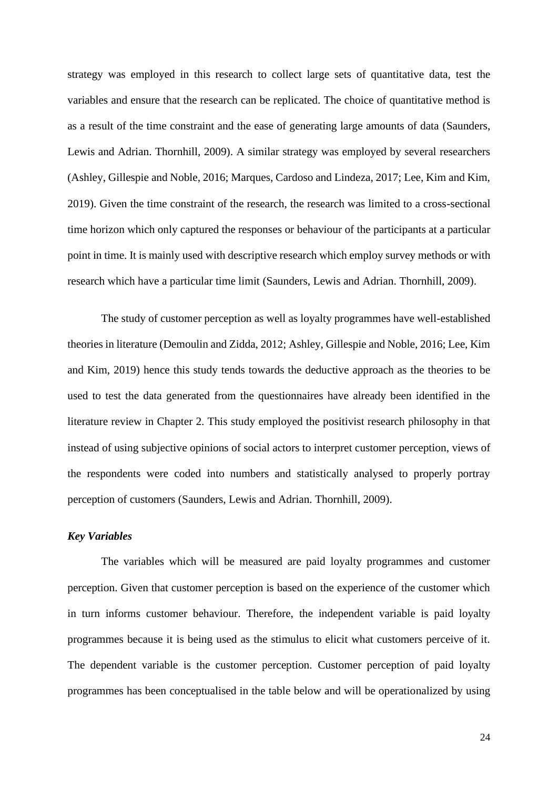strategy was employed in this research to collect large sets of quantitative data, test the variables and ensure that the research can be replicated. The choice of quantitative method is as a result of the time constraint and the ease of generating large amounts of data (Saunders, Lewis and Adrian. Thornhill, 2009). A similar strategy was employed by several researchers (Ashley, Gillespie and Noble, 2016; Marques, Cardoso and Lindeza, 2017; Lee, Kim and Kim, 2019). Given the time constraint of the research, the research was limited to a cross-sectional time horizon which only captured the responses or behaviour of the participants at a particular point in time. It is mainly used with descriptive research which employ survey methods or with research which have a particular time limit (Saunders, Lewis and Adrian. Thornhill, 2009).

The study of customer perception as well as loyalty programmes have well-established theories in literature (Demoulin and Zidda, 2012; Ashley, Gillespie and Noble, 2016; Lee, Kim and Kim, 2019) hence this study tends towards the deductive approach as the theories to be used to test the data generated from the questionnaires have already been identified in the literature review in Chapter 2. This study employed the positivist research philosophy in that instead of using subjective opinions of social actors to interpret customer perception, views of the respondents were coded into numbers and statistically analysed to properly portray perception of customers (Saunders, Lewis and Adrian. Thornhill, 2009).

#### <span id="page-31-0"></span>*Key Variables*

The variables which will be measured are paid loyalty programmes and customer perception. Given that customer perception is based on the experience of the customer which in turn informs customer behaviour. Therefore, the independent variable is paid loyalty programmes because it is being used as the stimulus to elicit what customers perceive of it. The dependent variable is the customer perception. Customer perception of paid loyalty programmes has been conceptualised in the table below and will be operationalized by using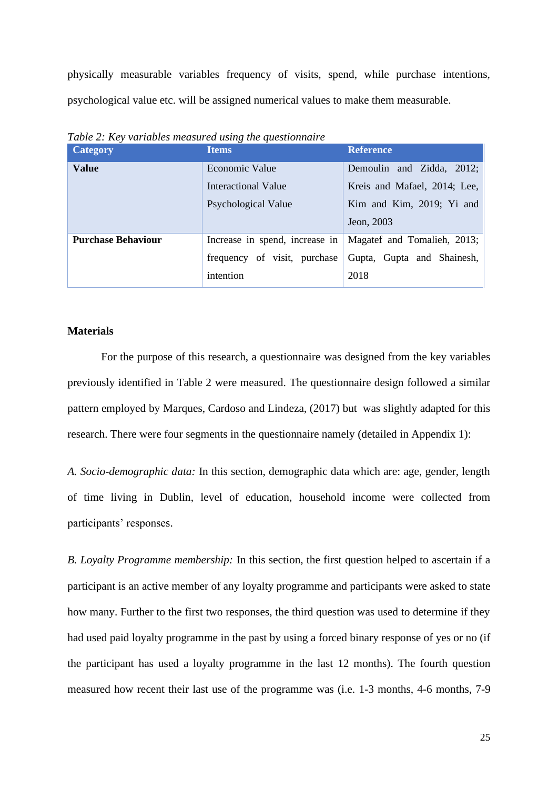physically measurable variables frequency of visits, spend, while purchase intentions, psychological value etc. will be assigned numerical values to make them measurable.

| <b>Category</b>           | <b>Items</b>                 | <b>Reference</b>                                             |
|---------------------------|------------------------------|--------------------------------------------------------------|
| <b>Value</b>              | Economic Value               | Demoulin and Zidda, 2012;                                    |
|                           | Interactional Value          | Kreis and Mafael, 2014; Lee,                                 |
|                           | Psychological Value          | Kim and Kim, 2019; Yi and                                    |
|                           |                              | Jeon, 2003                                                   |
| <b>Purchase Behaviour</b> |                              | Increase in spend, increase in   Magatef and Tomalieh, 2013; |
|                           | frequency of visit, purchase | Gupta, Gupta and Shainesh,                                   |
|                           | intention                    | 2018                                                         |

<span id="page-32-1"></span>*Table 2: Key variables measured using the questionnaire*

#### <span id="page-32-0"></span>**Materials**

For the purpose of this research, a questionnaire was designed from the key variables previously identified in Table 2 were measured. The questionnaire design followed a similar pattern employed by Marques, Cardoso and Lindeza, (2017) but was slightly adapted for this research. There were four segments in the questionnaire namely (detailed in Appendix 1):

*A. Socio-demographic data:* In this section, demographic data which are: age, gender, length of time living in Dublin, level of education, household income were collected from participants' responses.

*B. Loyalty Programme membership:* In this section, the first question helped to ascertain if a participant is an active member of any loyalty programme and participants were asked to state how many. Further to the first two responses, the third question was used to determine if they had used paid loyalty programme in the past by using a forced binary response of yes or no (if the participant has used a loyalty programme in the last 12 months). The fourth question measured how recent their last use of the programme was (i.e. 1-3 months, 4-6 months, 7-9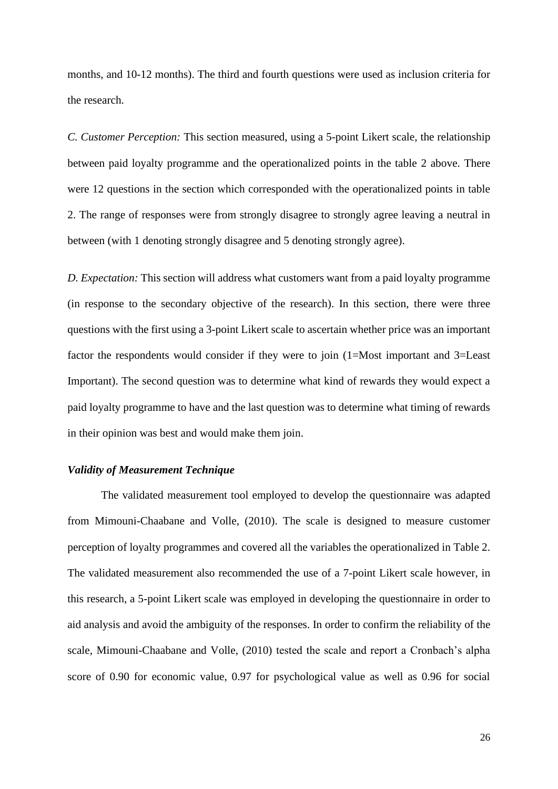months, and 10-12 months). The third and fourth questions were used as inclusion criteria for the research.

*C. Customer Perception:* This section measured, using a 5-point Likert scale, the relationship between paid loyalty programme and the operationalized points in the table 2 above. There were 12 questions in the section which corresponded with the operationalized points in table 2. The range of responses were from strongly disagree to strongly agree leaving a neutral in between (with 1 denoting strongly disagree and 5 denoting strongly agree).

*D. Expectation:* This section will address what customers want from a paid loyalty programme (in response to the secondary objective of the research). In this section, there were three questions with the first using a 3-point Likert scale to ascertain whether price was an important factor the respondents would consider if they were to join (1=Most important and 3=Least Important). The second question was to determine what kind of rewards they would expect a paid loyalty programme to have and the last question was to determine what timing of rewards in their opinion was best and would make them join.

## <span id="page-33-0"></span>*Validity of Measurement Technique*

The validated measurement tool employed to develop the questionnaire was adapted from Mimouni-Chaabane and Volle, (2010). The scale is designed to measure customer perception of loyalty programmes and covered all the variables the operationalized in Table 2. The validated measurement also recommended the use of a 7-point Likert scale however, in this research, a 5-point Likert scale was employed in developing the questionnaire in order to aid analysis and avoid the ambiguity of the responses. In order to confirm the reliability of the scale, Mimouni-Chaabane and Volle, (2010) tested the scale and report a Cronbach's alpha score of 0.90 for economic value, 0.97 for psychological value as well as 0.96 for social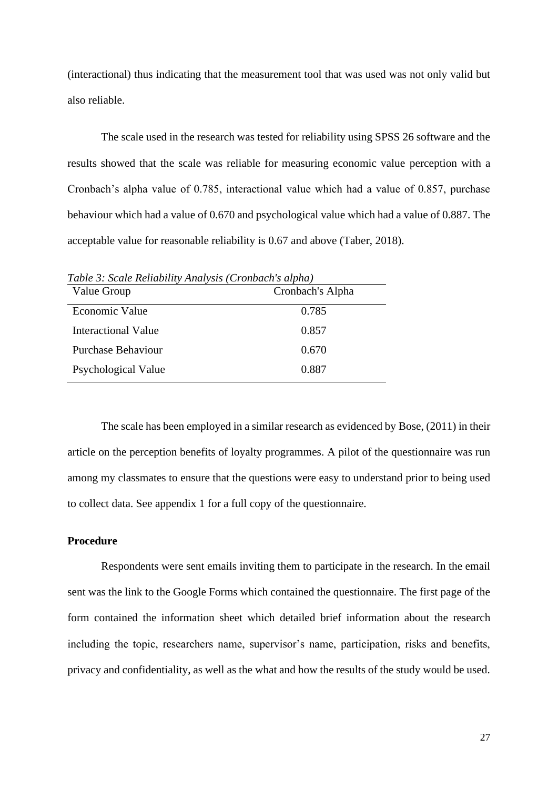(interactional) thus indicating that the measurement tool that was used was not only valid but also reliable.

The scale used in the research was tested for reliability using SPSS 26 software and the results showed that the scale was reliable for measuring economic value perception with a Cronbach's alpha value of 0.785, interactional value which had a value of 0.857, purchase behaviour which had a value of 0.670 and psychological value which had a value of 0.887. The acceptable value for reasonable reliability is 0.67 and above (Taber, 2018).

Value Group Cronbach's Alpha Economic Value 0.785 Interactional Value 0.857 Purchase Behaviour 0.670 Psychological Value 0.887

<span id="page-34-1"></span>*Table 3: Scale Reliability Analysis (Cronbach's alpha)*

The scale has been employed in a similar research as evidenced by Bose, (2011) in their article on the perception benefits of loyalty programmes. A pilot of the questionnaire was run among my classmates to ensure that the questions were easy to understand prior to being used to collect data. See appendix 1 for a full copy of the questionnaire.

#### <span id="page-34-0"></span>**Procedure**

Respondents were sent emails inviting them to participate in the research. In the email sent was the link to the Google Forms which contained the questionnaire. The first page of the form contained the information sheet which detailed brief information about the research including the topic, researchers name, supervisor's name, participation, risks and benefits, privacy and confidentiality, as well as the what and how the results of the study would be used.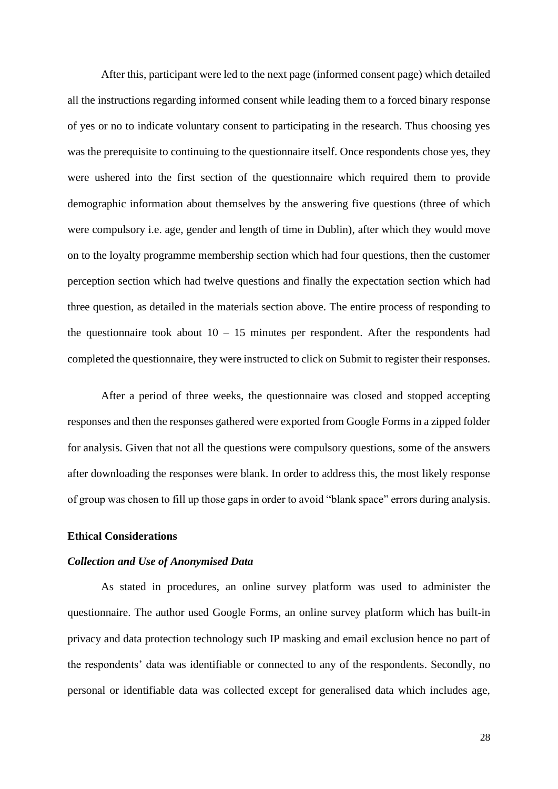After this, participant were led to the next page (informed consent page) which detailed all the instructions regarding informed consent while leading them to a forced binary response of yes or no to indicate voluntary consent to participating in the research. Thus choosing yes was the prerequisite to continuing to the questionnaire itself. Once respondents chose yes, they were ushered into the first section of the questionnaire which required them to provide demographic information about themselves by the answering five questions (three of which were compulsory i.e. age, gender and length of time in Dublin), after which they would move on to the loyalty programme membership section which had four questions, then the customer perception section which had twelve questions and finally the expectation section which had three question, as detailed in the materials section above. The entire process of responding to the questionnaire took about  $10 - 15$  minutes per respondent. After the respondents had completed the questionnaire, they were instructed to click on Submit to register their responses.

After a period of three weeks, the questionnaire was closed and stopped accepting responses and then the responses gathered were exported from Google Forms in a zipped folder for analysis. Given that not all the questions were compulsory questions, some of the answers after downloading the responses were blank. In order to address this, the most likely response of group was chosen to fill up those gaps in order to avoid "blank space" errors during analysis.

#### <span id="page-35-0"></span>**Ethical Considerations**

#### <span id="page-35-1"></span>*Collection and Use of Anonymised Data*

As stated in procedures, an online survey platform was used to administer the questionnaire. The author used Google Forms, an online survey platform which has built-in privacy and data protection technology such IP masking and email exclusion hence no part of the respondents' data was identifiable or connected to any of the respondents. Secondly, no personal or identifiable data was collected except for generalised data which includes age,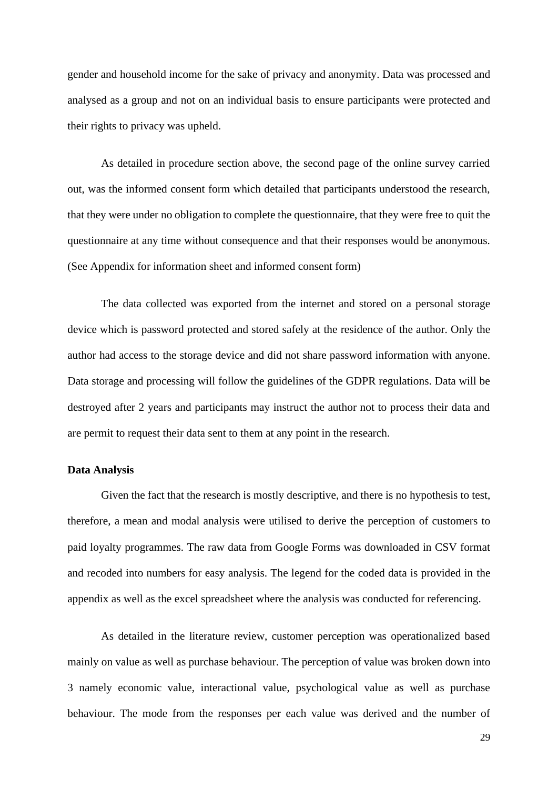gender and household income for the sake of privacy and anonymity. Data was processed and analysed as a group and not on an individual basis to ensure participants were protected and their rights to privacy was upheld.

As detailed in procedure section above, the second page of the online survey carried out, was the informed consent form which detailed that participants understood the research, that they were under no obligation to complete the questionnaire, that they were free to quit the questionnaire at any time without consequence and that their responses would be anonymous. (See Appendix for information sheet and informed consent form)

The data collected was exported from the internet and stored on a personal storage device which is password protected and stored safely at the residence of the author. Only the author had access to the storage device and did not share password information with anyone. Data storage and processing will follow the guidelines of the GDPR regulations. Data will be destroyed after 2 years and participants may instruct the author not to process their data and are permit to request their data sent to them at any point in the research.

#### <span id="page-36-0"></span>**Data Analysis**

Given the fact that the research is mostly descriptive, and there is no hypothesis to test, therefore, a mean and modal analysis were utilised to derive the perception of customers to paid loyalty programmes. The raw data from Google Forms was downloaded in CSV format and recoded into numbers for easy analysis. The legend for the coded data is provided in the appendix as well as the excel spreadsheet where the analysis was conducted for referencing.

As detailed in the literature review, customer perception was operationalized based mainly on value as well as purchase behaviour. The perception of value was broken down into 3 namely economic value, interactional value, psychological value as well as purchase behaviour. The mode from the responses per each value was derived and the number of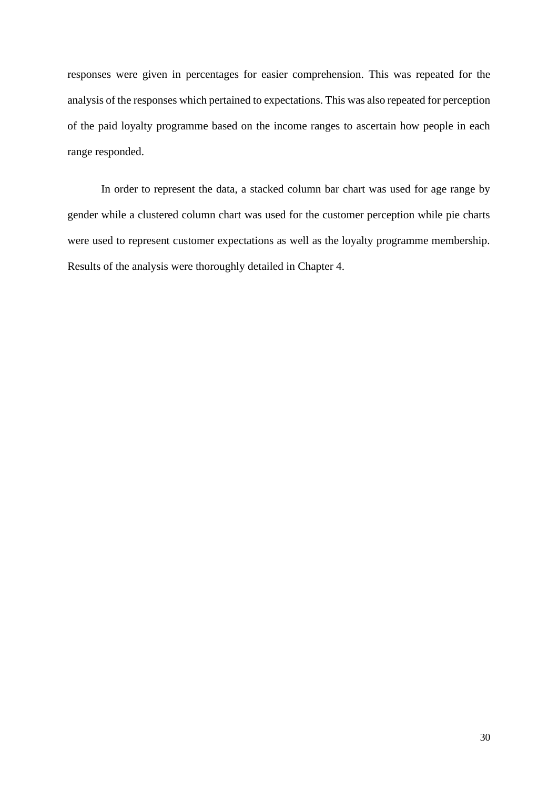responses were given in percentages for easier comprehension. This was repeated for the analysis of the responses which pertained to expectations. This was also repeated for perception of the paid loyalty programme based on the income ranges to ascertain how people in each range responded.

In order to represent the data, a stacked column bar chart was used for age range by gender while a clustered column chart was used for the customer perception while pie charts were used to represent customer expectations as well as the loyalty programme membership. Results of the analysis were thoroughly detailed in Chapter 4.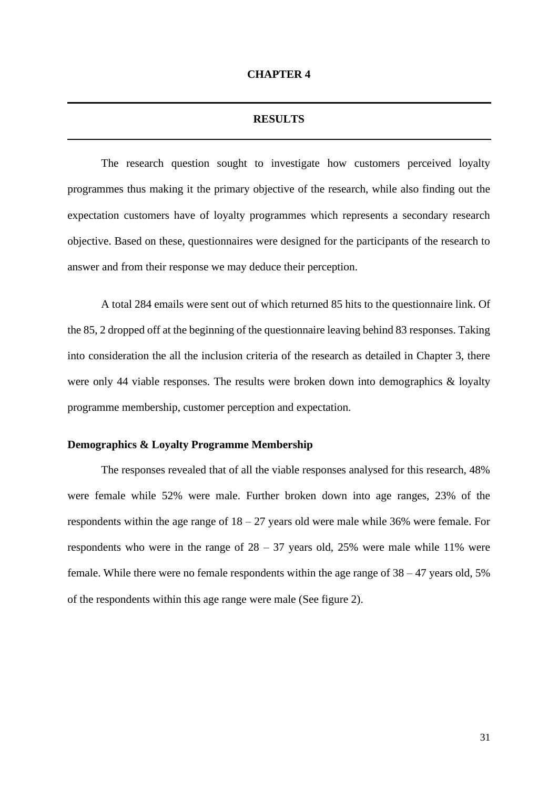#### **RESULTS**

<span id="page-38-1"></span><span id="page-38-0"></span>The research question sought to investigate how customers perceived loyalty programmes thus making it the primary objective of the research, while also finding out the expectation customers have of loyalty programmes which represents a secondary research objective. Based on these, questionnaires were designed for the participants of the research to answer and from their response we may deduce their perception.

A total 284 emails were sent out of which returned 85 hits to the questionnaire link. Of the 85, 2 dropped off at the beginning of the questionnaire leaving behind 83 responses. Taking into consideration the all the inclusion criteria of the research as detailed in Chapter 3, there were only 44 viable responses. The results were broken down into demographics & loyalty programme membership, customer perception and expectation.

#### <span id="page-38-2"></span>**Demographics & Loyalty Programme Membership**

The responses revealed that of all the viable responses analysed for this research, 48% were female while 52% were male. Further broken down into age ranges, 23% of the respondents within the age range of 18 – 27 years old were male while 36% were female. For respondents who were in the range of  $28 - 37$  years old,  $25\%$  were male while 11% were female. While there were no female respondents within the age range of  $38 - 47$  years old,  $5\%$ of the respondents within this age range were male (See figure 2).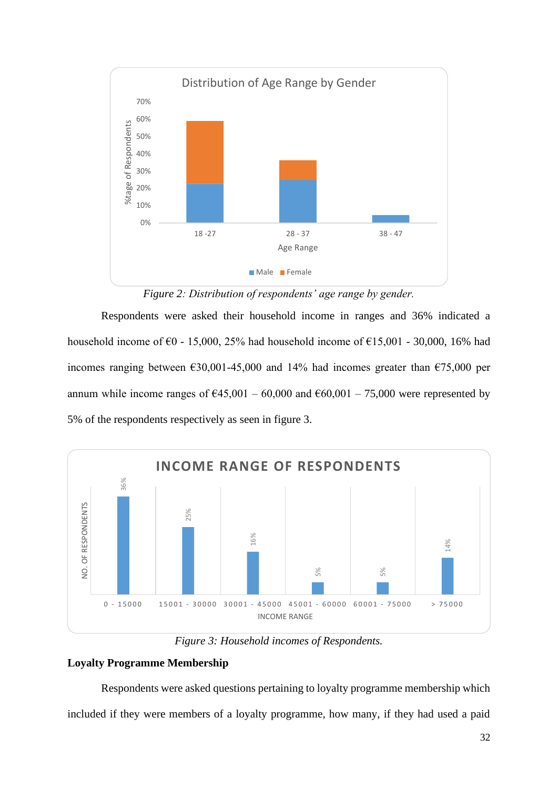

*Figure 2: Distribution of respondents' age range by gender.*

<span id="page-39-1"></span>Respondents were asked their household income in ranges and 36% indicated a household income of  $\epsilon$ 0 - 15,000, 25% had household income of  $\epsilon$ 15,001 - 30,000, 16% had incomes ranging between  $\epsilon$ 30,001-45,000 and 14% had incomes greater than  $\epsilon$ 75,000 per annum while income ranges of  $\text{\textsterling}45,001 - 60,000$  and  $\text{\textsterling}60,001 - 75,000$  were represented by 5% of the respondents respectively as seen in figure 3.



*Figure 3: Household incomes of Respondents.*

## <span id="page-39-2"></span><span id="page-39-0"></span>**Loyalty Programme Membership**

Respondents were asked questions pertaining to loyalty programme membership which included if they were members of a loyalty programme, how many, if they had used a paid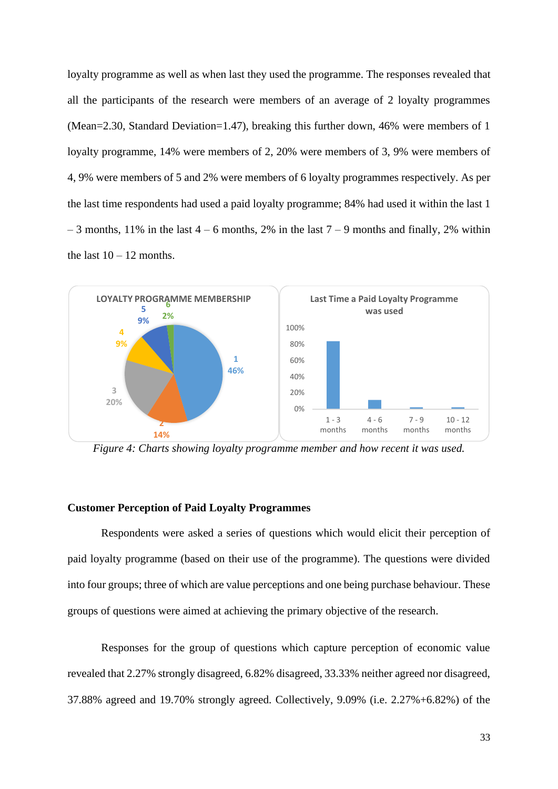loyalty programme as well as when last they used the programme. The responses revealed that all the participants of the research were members of an average of 2 loyalty programmes (Mean=2.30, Standard Deviation=1.47), breaking this further down, 46% were members of 1 loyalty programme, 14% were members of 2, 20% were members of 3, 9% were members of 4, 9% were members of 5 and 2% were members of 6 loyalty programmes respectively. As per the last time respondents had used a paid loyalty programme; 84% had used it within the last 1  $-3$  months, 11% in the last  $4 - 6$  months, 2% in the last  $7 - 9$  months and finally, 2% within the last  $10 - 12$  months.

<span id="page-40-1"></span>

*Figure 4: Charts showing loyalty programme member and how recent it was used.*

#### <span id="page-40-0"></span>**Customer Perception of Paid Loyalty Programmes**

Respondents were asked a series of questions which would elicit their perception of paid loyalty programme (based on their use of the programme). The questions were divided into four groups; three of which are value perceptions and one being purchase behaviour. These groups of questions were aimed at achieving the primary objective of the research.

Responses for the group of questions which capture perception of economic value revealed that 2.27% strongly disagreed, 6.82% disagreed, 33.33% neither agreed nor disagreed, 37.88% agreed and 19.70% strongly agreed. Collectively, 9.09% (i.e. 2.27%+6.82%) of the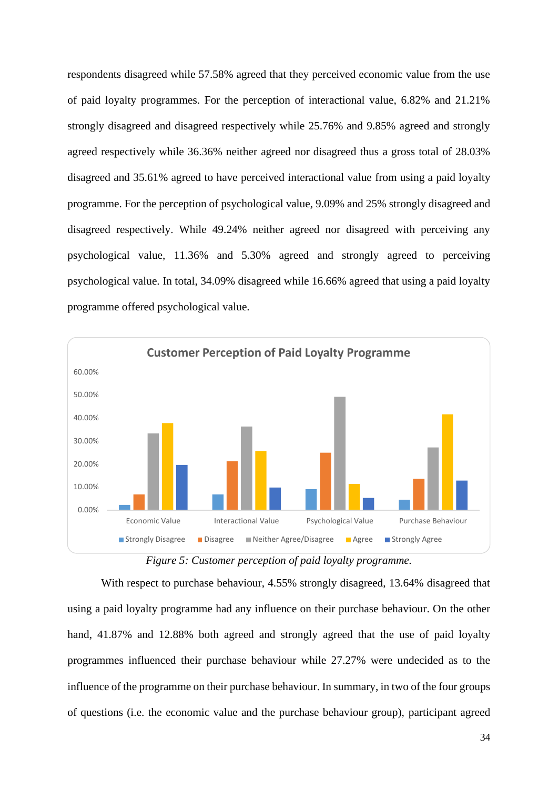respondents disagreed while 57.58% agreed that they perceived economic value from the use of paid loyalty programmes. For the perception of interactional value, 6.82% and 21.21% strongly disagreed and disagreed respectively while 25.76% and 9.85% agreed and strongly agreed respectively while 36.36% neither agreed nor disagreed thus a gross total of 28.03% disagreed and 35.61% agreed to have perceived interactional value from using a paid loyalty programme. For the perception of psychological value, 9.09% and 25% strongly disagreed and disagreed respectively. While 49.24% neither agreed nor disagreed with perceiving any psychological value, 11.36% and 5.30% agreed and strongly agreed to perceiving psychological value. In total, 34.09% disagreed while 16.66% agreed that using a paid loyalty programme offered psychological value.



*Figure 5: Customer perception of paid loyalty programme.*

<span id="page-41-0"></span>With respect to purchase behaviour, 4.55% strongly disagreed, 13.64% disagreed that using a paid loyalty programme had any influence on their purchase behaviour. On the other hand, 41.87% and 12.88% both agreed and strongly agreed that the use of paid loyalty programmes influenced their purchase behaviour while 27.27% were undecided as to the influence of the programme on their purchase behaviour. In summary, in two of the four groups of questions (i.e. the economic value and the purchase behaviour group), participant agreed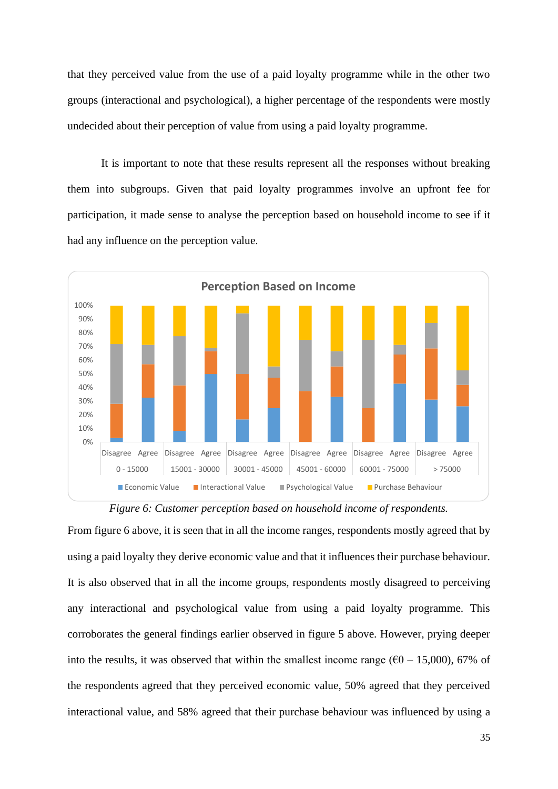that they perceived value from the use of a paid loyalty programme while in the other two groups (interactional and psychological), a higher percentage of the respondents were mostly undecided about their perception of value from using a paid loyalty programme.

It is important to note that these results represent all the responses without breaking them into subgroups. Given that paid loyalty programmes involve an upfront fee for participation, it made sense to analyse the perception based on household income to see if it had any influence on the perception value.





<span id="page-42-0"></span>From figure 6 above, it is seen that in all the income ranges, respondents mostly agreed that by using a paid loyalty they derive economic value and that it influences their purchase behaviour. It is also observed that in all the income groups, respondents mostly disagreed to perceiving any interactional and psychological value from using a paid loyalty programme. This corroborates the general findings earlier observed in figure 5 above. However, prying deeper into the results, it was observed that within the smallest income range ( $\epsilon$ 0 – 15,000), 67% of the respondents agreed that they perceived economic value, 50% agreed that they perceived interactional value, and 58% agreed that their purchase behaviour was influenced by using a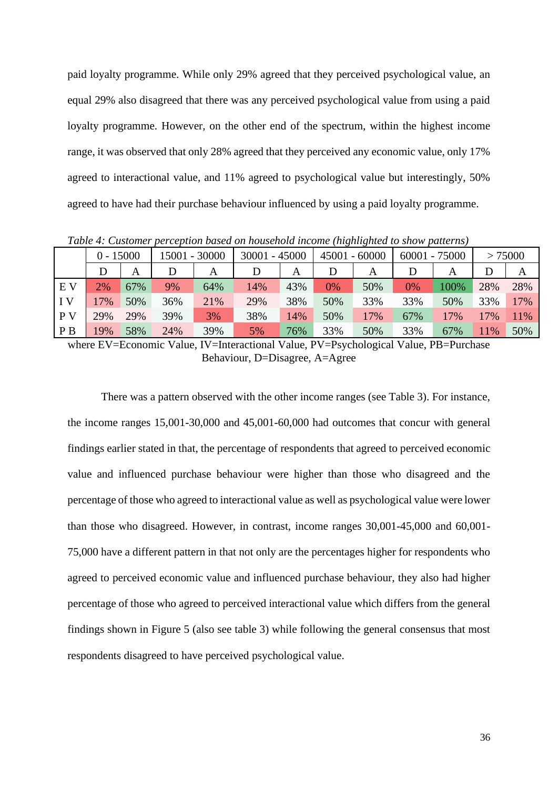paid loyalty programme. While only 29% agreed that they perceived psychological value, an equal 29% also disagreed that there was any perceived psychological value from using a paid loyalty programme. However, on the other end of the spectrum, within the highest income range, it was observed that only 28% agreed that they perceived any economic value, only 17% agreed to interactional value, and 11% agreed to psychological value but interestingly, 50% agreed to have had their purchase behaviour influenced by using a paid loyalty programme.

|                | $0 - 15000$ |     |     | 15001 - 30000 | 30001 | $-45000$ | 45001 | $-60000$ |       | $60001 - 75000$ |     | > 75000 |
|----------------|-------------|-----|-----|---------------|-------|----------|-------|----------|-------|-----------------|-----|---------|
|                | D           | А   |     | Α             |       | А        |       | A        |       | A               |     | Α       |
| E V            | 2%          | 67% | 9%  | 64%           | 14%   | 43%      | $0\%$ | 50%      | $0\%$ | 100%            | 28% | 28%     |
| IV             | 7%          | 50% | 36% | 21%           | 29%   | 38%      | 50%   | 33%      | 33%   | 50%             | 33% | 17%     |
| P <sub>V</sub> | 29%         | 29% | 39% | 3%            | 38%   | 14%      | 50%   | 17%      | 67%   | 17%             | 17% | 11%     |
| P <sub>B</sub> | 19%         | 58% | 24% | 39%           | 5%    | 76%      | 33%   | 50%      | 33%   | 67%             | 11% | 50%     |

<span id="page-43-0"></span>*Table 4: Customer perception based on household income (highlighted to show patterns)*

where EV=Economic Value, IV=Interactional Value, PV=Psychological Value, PB=Purchase Behaviour, D=Disagree, A=Agree

There was a pattern observed with the other income ranges (see Table 3). For instance, the income ranges 15,001-30,000 and 45,001-60,000 had outcomes that concur with general findings earlier stated in that, the percentage of respondents that agreed to perceived economic value and influenced purchase behaviour were higher than those who disagreed and the percentage of those who agreed to interactional value as well as psychological value were lower than those who disagreed. However, in contrast, income ranges 30,001-45,000 and 60,001- 75,000 have a different pattern in that not only are the percentages higher for respondents who agreed to perceived economic value and influenced purchase behaviour, they also had higher percentage of those who agreed to perceived interactional value which differs from the general findings shown in Figure 5 (also see table 3) while following the general consensus that most respondents disagreed to have perceived psychological value.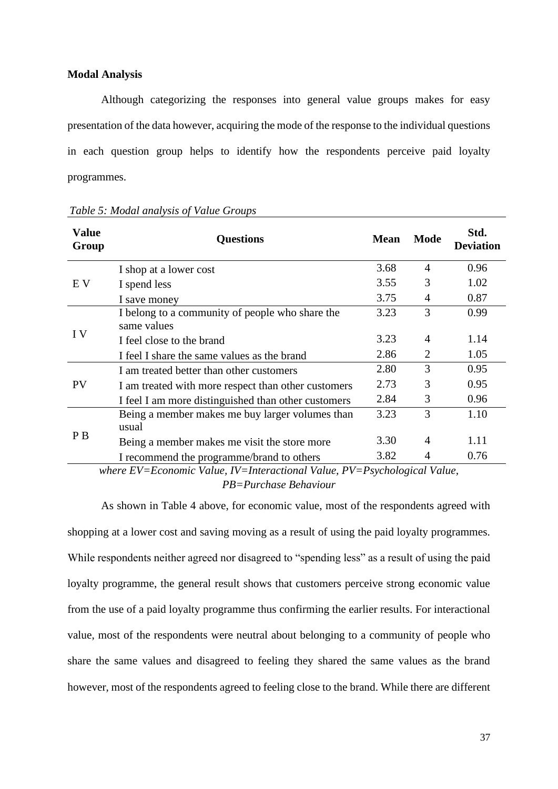#### <span id="page-44-0"></span>**Modal Analysis**

Although categorizing the responses into general value groups makes for easy presentation of the data however, acquiring the mode of the response to the individual questions in each question group helps to identify how the respondents perceive paid loyalty programmes.

| <b>Value</b><br>Group | <b>Questions</b>                                    | <b>Mean</b> | <b>Mode</b>    | Std.<br><b>Deviation</b> |
|-----------------------|-----------------------------------------------------|-------------|----------------|--------------------------|
|                       | I shop at a lower cost                              | 3.68        | $\overline{4}$ | 0.96                     |
| E V                   | I spend less                                        | 3.55        | 3              | 1.02                     |
|                       | I save money                                        | 3.75        | $\overline{4}$ | 0.87                     |
| I V                   | I belong to a community of people who share the     | 3.23        | 3              | 0.99                     |
|                       | same values                                         |             |                |                          |
|                       | I feel close to the brand                           | 3.23        | $\overline{A}$ | 1.14                     |
|                       | I feel I share the same values as the brand         | 2.86        | $\overline{2}$ | 1.05                     |
|                       | I am treated better than other customers            | 2.80        | 3              | 0.95                     |
| <b>PV</b>             | I am treated with more respect than other customers | 2.73        | 3              | 0.95                     |
|                       | I feel I am more distinguished than other customers | 2.84        | 3              | 0.96                     |
| P <sub>B</sub>        | Being a member makes me buy larger volumes than     | 3.23        | 3              | 1.10                     |
|                       | usual                                               |             |                |                          |
|                       | Being a member makes me visit the store more        | 3.30        | 4              | 1.11                     |
|                       | I recommend the programme/brand to others           | 3.82        | 4              | 0.76                     |

<span id="page-44-1"></span>*Table 5: Modal analysis of Value Groups*

*where EV=Economic Value, IV=Interactional Value, PV=Psychological Value, PB=Purchase Behaviour*

As shown in Table 4 above, for economic value, most of the respondents agreed with shopping at a lower cost and saving moving as a result of using the paid loyalty programmes. While respondents neither agreed nor disagreed to "spending less" as a result of using the paid loyalty programme, the general result shows that customers perceive strong economic value from the use of a paid loyalty programme thus confirming the earlier results. For interactional value, most of the respondents were neutral about belonging to a community of people who share the same values and disagreed to feeling they shared the same values as the brand however, most of the respondents agreed to feeling close to the brand. While there are different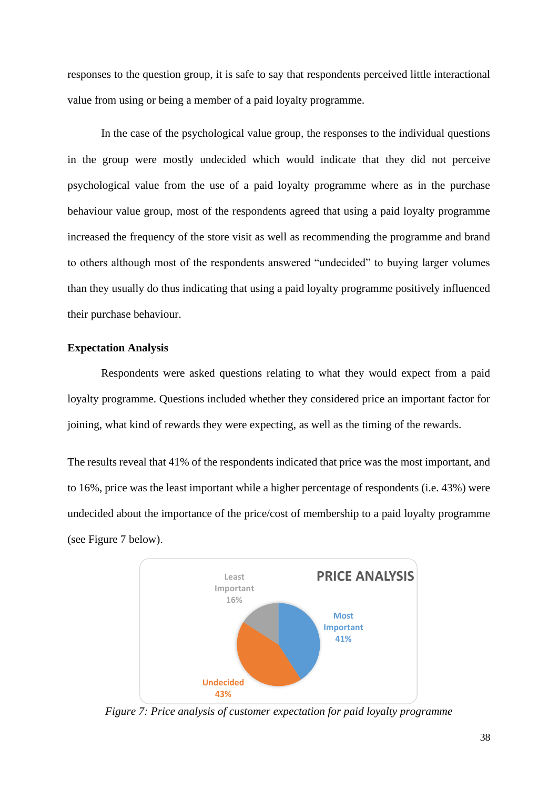responses to the question group, it is safe to say that respondents perceived little interactional value from using or being a member of a paid loyalty programme.

In the case of the psychological value group, the responses to the individual questions in the group were mostly undecided which would indicate that they did not perceive psychological value from the use of a paid loyalty programme where as in the purchase behaviour value group, most of the respondents agreed that using a paid loyalty programme increased the frequency of the store visit as well as recommending the programme and brand to others although most of the respondents answered "undecided" to buying larger volumes than they usually do thus indicating that using a paid loyalty programme positively influenced their purchase behaviour.

#### <span id="page-45-0"></span>**Expectation Analysis**

Respondents were asked questions relating to what they would expect from a paid loyalty programme. Questions included whether they considered price an important factor for joining, what kind of rewards they were expecting, as well as the timing of the rewards.

The results reveal that 41% of the respondents indicated that price was the most important, and to 16%, price was the least important while a higher percentage of respondents (i.e. 43%) were undecided about the importance of the price/cost of membership to a paid loyalty programme (see Figure 7 below).



<span id="page-45-1"></span>*Figure 7: Price analysis of customer expectation for paid loyalty programme*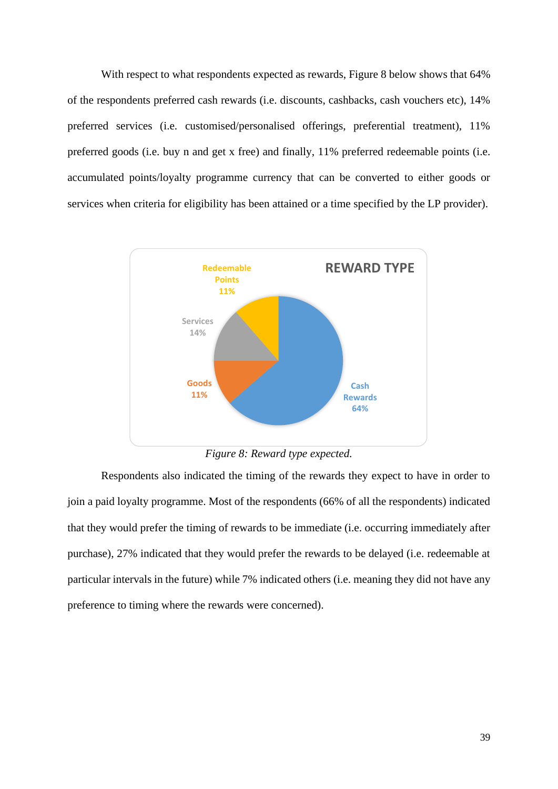With respect to what respondents expected as rewards, Figure 8 below shows that 64% of the respondents preferred cash rewards (i.e. discounts, cashbacks, cash vouchers etc), 14% preferred services (i.e. customised/personalised offerings, preferential treatment), 11% preferred goods (i.e. buy n and get x free) and finally, 11% preferred redeemable points (i.e. accumulated points/loyalty programme currency that can be converted to either goods or services when criteria for eligibility has been attained or a time specified by the LP provider).



*Figure 8: Reward type expected.*

<span id="page-46-0"></span>Respondents also indicated the timing of the rewards they expect to have in order to join a paid loyalty programme. Most of the respondents (66% of all the respondents) indicated that they would prefer the timing of rewards to be immediate (i.e. occurring immediately after purchase), 27% indicated that they would prefer the rewards to be delayed (i.e. redeemable at particular intervals in the future) while 7% indicated others (i.e. meaning they did not have any preference to timing where the rewards were concerned).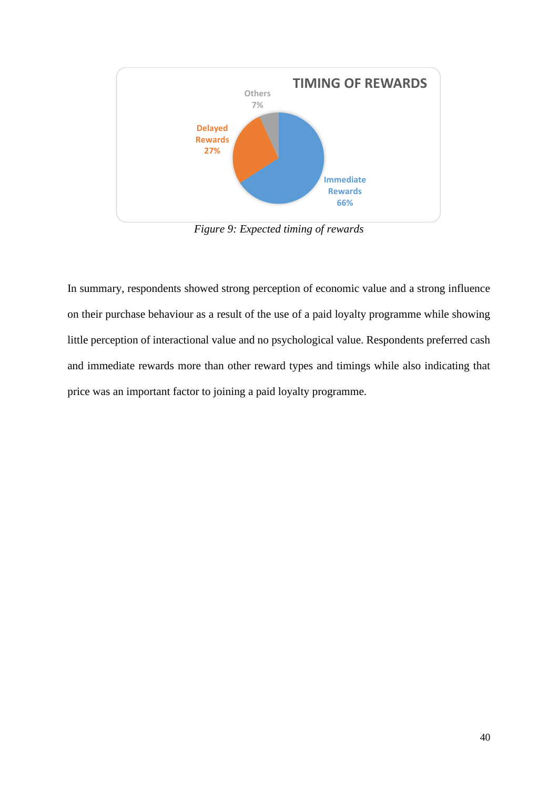

*Figure 9: Expected timing of rewards*

<span id="page-47-0"></span>In summary, respondents showed strong perception of economic value and a strong influence on their purchase behaviour as a result of the use of a paid loyalty programme while showing little perception of interactional value and no psychological value. Respondents preferred cash and immediate rewards more than other reward types and timings while also indicating that price was an important factor to joining a paid loyalty programme.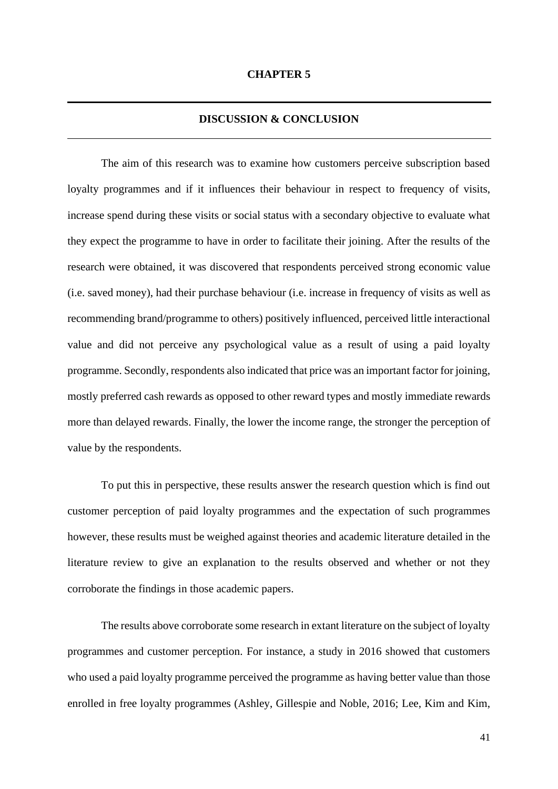#### **DISCUSSION & CONCLUSION**

<span id="page-48-1"></span><span id="page-48-0"></span>The aim of this research was to examine how customers perceive subscription based loyalty programmes and if it influences their behaviour in respect to frequency of visits, increase spend during these visits or social status with a secondary objective to evaluate what they expect the programme to have in order to facilitate their joining. After the results of the research were obtained, it was discovered that respondents perceived strong economic value (i.e. saved money), had their purchase behaviour (i.e. increase in frequency of visits as well as recommending brand/programme to others) positively influenced, perceived little interactional value and did not perceive any psychological value as a result of using a paid loyalty programme. Secondly, respondents also indicated that price was an important factor for joining, mostly preferred cash rewards as opposed to other reward types and mostly immediate rewards more than delayed rewards. Finally, the lower the income range, the stronger the perception of value by the respondents.

To put this in perspective, these results answer the research question which is find out customer perception of paid loyalty programmes and the expectation of such programmes however, these results must be weighed against theories and academic literature detailed in the literature review to give an explanation to the results observed and whether or not they corroborate the findings in those academic papers.

The results above corroborate some research in extant literature on the subject of loyalty programmes and customer perception. For instance, a study in 2016 showed that customers who used a paid loyalty programme perceived the programme as having better value than those enrolled in free loyalty programmes (Ashley, Gillespie and Noble, 2016; Lee, Kim and Kim,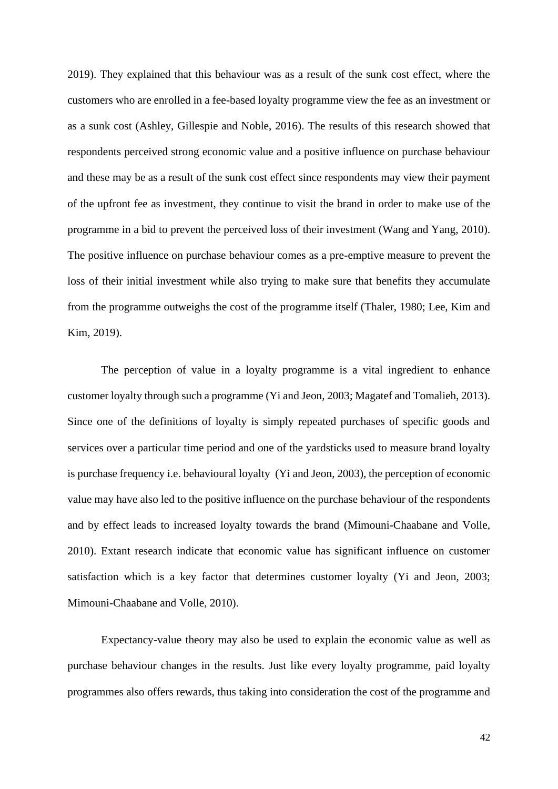2019). They explained that this behaviour was as a result of the sunk cost effect, where the customers who are enrolled in a fee-based loyalty programme view the fee as an investment or as a sunk cost (Ashley, Gillespie and Noble, 2016). The results of this research showed that respondents perceived strong economic value and a positive influence on purchase behaviour and these may be as a result of the sunk cost effect since respondents may view their payment of the upfront fee as investment, they continue to visit the brand in order to make use of the programme in a bid to prevent the perceived loss of their investment (Wang and Yang, 2010). The positive influence on purchase behaviour comes as a pre-emptive measure to prevent the loss of their initial investment while also trying to make sure that benefits they accumulate from the programme outweighs the cost of the programme itself (Thaler, 1980; Lee, Kim and Kim, 2019).

The perception of value in a loyalty programme is a vital ingredient to enhance customer loyalty through such a programme (Yi and Jeon, 2003; Magatef and Tomalieh, 2013). Since one of the definitions of loyalty is simply repeated purchases of specific goods and services over a particular time period and one of the yardsticks used to measure brand loyalty is purchase frequency i.e. behavioural loyalty (Yi and Jeon, 2003), the perception of economic value may have also led to the positive influence on the purchase behaviour of the respondents and by effect leads to increased loyalty towards the brand (Mimouni-Chaabane and Volle, 2010). Extant research indicate that economic value has significant influence on customer satisfaction which is a key factor that determines customer loyalty (Yi and Jeon, 2003; Mimouni-Chaabane and Volle, 2010).

Expectancy-value theory may also be used to explain the economic value as well as purchase behaviour changes in the results. Just like every loyalty programme, paid loyalty programmes also offers rewards, thus taking into consideration the cost of the programme and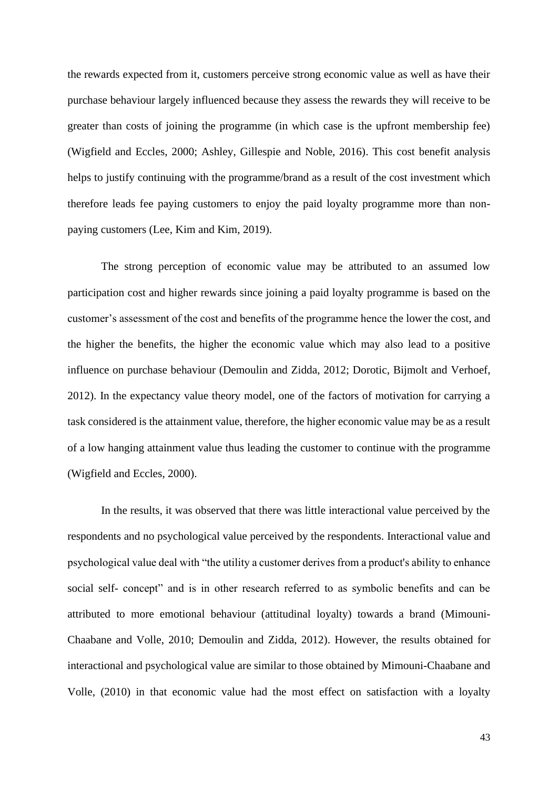the rewards expected from it, customers perceive strong economic value as well as have their purchase behaviour largely influenced because they assess the rewards they will receive to be greater than costs of joining the programme (in which case is the upfront membership fee) (Wigfield and Eccles, 2000; Ashley, Gillespie and Noble, 2016). This cost benefit analysis helps to justify continuing with the programme/brand as a result of the cost investment which therefore leads fee paying customers to enjoy the paid loyalty programme more than nonpaying customers (Lee, Kim and Kim, 2019).

The strong perception of economic value may be attributed to an assumed low participation cost and higher rewards since joining a paid loyalty programme is based on the customer's assessment of the cost and benefits of the programme hence the lower the cost, and the higher the benefits, the higher the economic value which may also lead to a positive influence on purchase behaviour (Demoulin and Zidda, 2012; Dorotic, Bijmolt and Verhoef, 2012). In the expectancy value theory model, one of the factors of motivation for carrying a task considered is the attainment value, therefore, the higher economic value may be as a result of a low hanging attainment value thus leading the customer to continue with the programme (Wigfield and Eccles, 2000).

In the results, it was observed that there was little interactional value perceived by the respondents and no psychological value perceived by the respondents. Interactional value and psychological value deal with "the utility a customer derives from a product's ability to enhance social self- concept" and is in other research referred to as symbolic benefits and can be attributed to more emotional behaviour (attitudinal loyalty) towards a brand (Mimouni-Chaabane and Volle, 2010; Demoulin and Zidda, 2012). However, the results obtained for interactional and psychological value are similar to those obtained by Mimouni-Chaabane and Volle, (2010) in that economic value had the most effect on satisfaction with a loyalty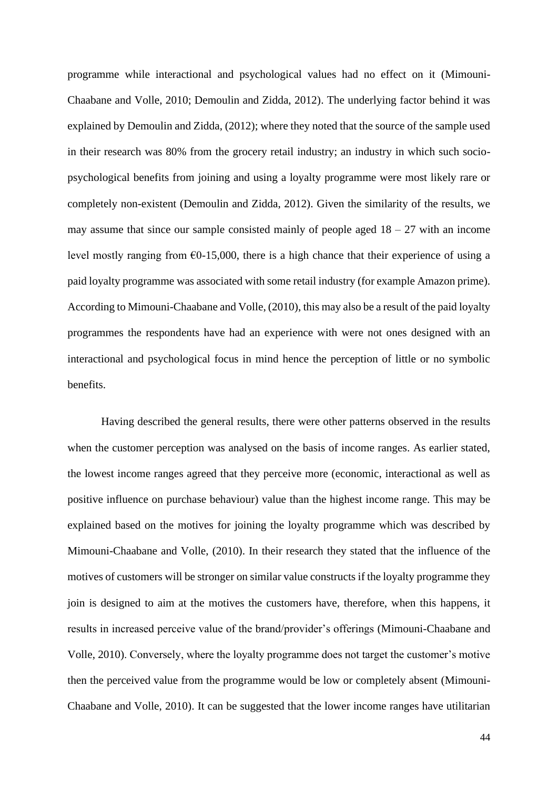programme while interactional and psychological values had no effect on it (Mimouni-Chaabane and Volle, 2010; Demoulin and Zidda, 2012). The underlying factor behind it was explained by Demoulin and Zidda, (2012); where they noted that the source of the sample used in their research was 80% from the grocery retail industry; an industry in which such sociopsychological benefits from joining and using a loyalty programme were most likely rare or completely non-existent (Demoulin and Zidda, 2012). Given the similarity of the results, we may assume that since our sample consisted mainly of people aged  $18 - 27$  with an income level mostly ranging from  $\epsilon$ 0-15,000, there is a high chance that their experience of using a paid loyalty programme was associated with some retail industry (for example Amazon prime). According to Mimouni-Chaabane and Volle, (2010), this may also be a result of the paid loyalty programmes the respondents have had an experience with were not ones designed with an interactional and psychological focus in mind hence the perception of little or no symbolic benefits.

Having described the general results, there were other patterns observed in the results when the customer perception was analysed on the basis of income ranges. As earlier stated, the lowest income ranges agreed that they perceive more (economic, interactional as well as positive influence on purchase behaviour) value than the highest income range. This may be explained based on the motives for joining the loyalty programme which was described by Mimouni-Chaabane and Volle, (2010). In their research they stated that the influence of the motives of customers will be stronger on similar value constructs if the loyalty programme they join is designed to aim at the motives the customers have, therefore, when this happens, it results in increased perceive value of the brand/provider's offerings (Mimouni-Chaabane and Volle, 2010). Conversely, where the loyalty programme does not target the customer's motive then the perceived value from the programme would be low or completely absent (Mimouni-Chaabane and Volle, 2010). It can be suggested that the lower income ranges have utilitarian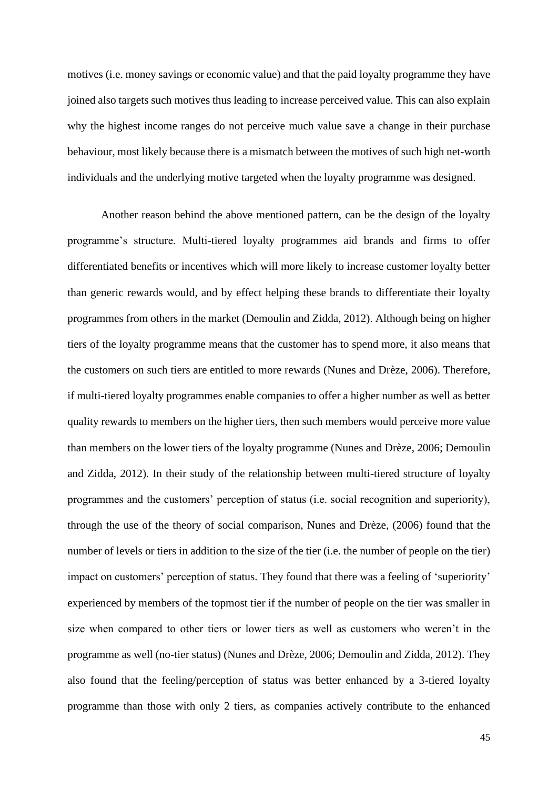motives (i.e. money savings or economic value) and that the paid loyalty programme they have joined also targets such motives thus leading to increase perceived value. This can also explain why the highest income ranges do not perceive much value save a change in their purchase behaviour, most likely because there is a mismatch between the motives of such high net-worth individuals and the underlying motive targeted when the loyalty programme was designed.

Another reason behind the above mentioned pattern, can be the design of the loyalty programme's structure. Multi-tiered loyalty programmes aid brands and firms to offer differentiated benefits or incentives which will more likely to increase customer loyalty better than generic rewards would, and by effect helping these brands to differentiate their loyalty programmes from others in the market (Demoulin and Zidda, 2012). Although being on higher tiers of the loyalty programme means that the customer has to spend more, it also means that the customers on such tiers are entitled to more rewards (Nunes and Drèze, 2006). Therefore, if multi-tiered loyalty programmes enable companies to offer a higher number as well as better quality rewards to members on the higher tiers, then such members would perceive more value than members on the lower tiers of the loyalty programme (Nunes and Drèze, 2006; Demoulin and Zidda, 2012). In their study of the relationship between multi-tiered structure of loyalty programmes and the customers' perception of status (i.e. social recognition and superiority), through the use of the theory of social comparison, Nunes and Drèze, (2006) found that the number of levels or tiers in addition to the size of the tier (i.e. the number of people on the tier) impact on customers' perception of status. They found that there was a feeling of 'superiority' experienced by members of the topmost tier if the number of people on the tier was smaller in size when compared to other tiers or lower tiers as well as customers who weren't in the programme as well (no-tier status) (Nunes and Drèze, 2006; Demoulin and Zidda, 2012). They also found that the feeling/perception of status was better enhanced by a 3-tiered loyalty programme than those with only 2 tiers, as companies actively contribute to the enhanced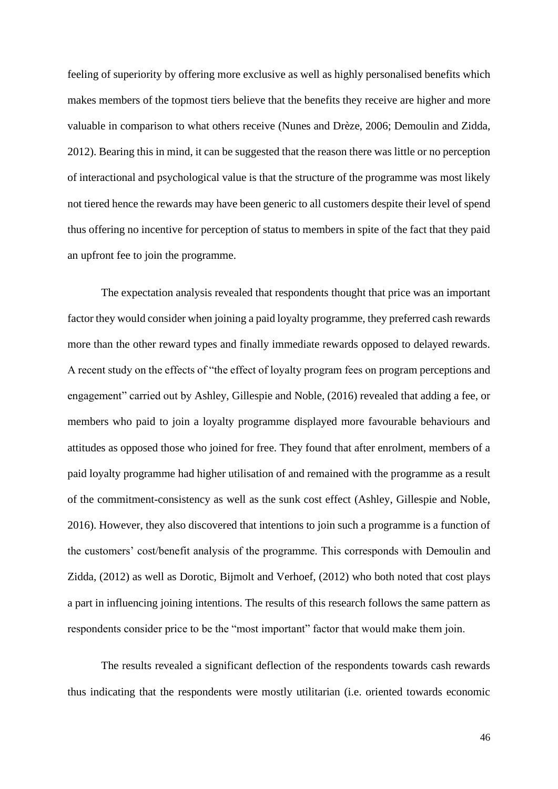feeling of superiority by offering more exclusive as well as highly personalised benefits which makes members of the topmost tiers believe that the benefits they receive are higher and more valuable in comparison to what others receive (Nunes and Drèze, 2006; Demoulin and Zidda, 2012). Bearing this in mind, it can be suggested that the reason there was little or no perception of interactional and psychological value is that the structure of the programme was most likely not tiered hence the rewards may have been generic to all customers despite their level of spend thus offering no incentive for perception of status to members in spite of the fact that they paid an upfront fee to join the programme.

The expectation analysis revealed that respondents thought that price was an important factor they would consider when joining a paid loyalty programme, they preferred cash rewards more than the other reward types and finally immediate rewards opposed to delayed rewards. A recent study on the effects of "the effect of loyalty program fees on program perceptions and engagement" carried out by Ashley, Gillespie and Noble, (2016) revealed that adding a fee, or members who paid to join a loyalty programme displayed more favourable behaviours and attitudes as opposed those who joined for free. They found that after enrolment, members of a paid loyalty programme had higher utilisation of and remained with the programme as a result of the commitment-consistency as well as the sunk cost effect (Ashley, Gillespie and Noble, 2016). However, they also discovered that intentions to join such a programme is a function of the customers' cost/benefit analysis of the programme. This corresponds with Demoulin and Zidda, (2012) as well as Dorotic, Bijmolt and Verhoef, (2012) who both noted that cost plays a part in influencing joining intentions. The results of this research follows the same pattern as respondents consider price to be the "most important" factor that would make them join.

The results revealed a significant deflection of the respondents towards cash rewards thus indicating that the respondents were mostly utilitarian (i.e. oriented towards economic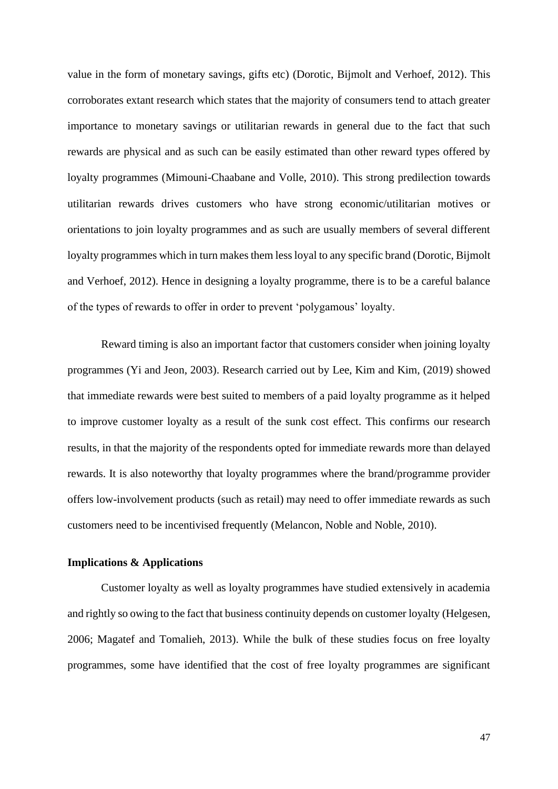value in the form of monetary savings, gifts etc) (Dorotic, Bijmolt and Verhoef, 2012). This corroborates extant research which states that the majority of consumers tend to attach greater importance to monetary savings or utilitarian rewards in general due to the fact that such rewards are physical and as such can be easily estimated than other reward types offered by loyalty programmes (Mimouni-Chaabane and Volle, 2010). This strong predilection towards utilitarian rewards drives customers who have strong economic/utilitarian motives or orientations to join loyalty programmes and as such are usually members of several different loyalty programmes which in turn makes them less loyal to any specific brand (Dorotic, Bijmolt and Verhoef, 2012). Hence in designing a loyalty programme, there is to be a careful balance of the types of rewards to offer in order to prevent 'polygamous' loyalty.

Reward timing is also an important factor that customers consider when joining loyalty programmes (Yi and Jeon, 2003). Research carried out by Lee, Kim and Kim, (2019) showed that immediate rewards were best suited to members of a paid loyalty programme as it helped to improve customer loyalty as a result of the sunk cost effect. This confirms our research results, in that the majority of the respondents opted for immediate rewards more than delayed rewards. It is also noteworthy that loyalty programmes where the brand/programme provider offers low-involvement products (such as retail) may need to offer immediate rewards as such customers need to be incentivised frequently (Melancon, Noble and Noble, 2010).

#### <span id="page-54-0"></span>**Implications & Applications**

Customer loyalty as well as loyalty programmes have studied extensively in academia and rightly so owing to the fact that business continuity depends on customer loyalty (Helgesen, 2006; Magatef and Tomalieh, 2013). While the bulk of these studies focus on free loyalty programmes, some have identified that the cost of free loyalty programmes are significant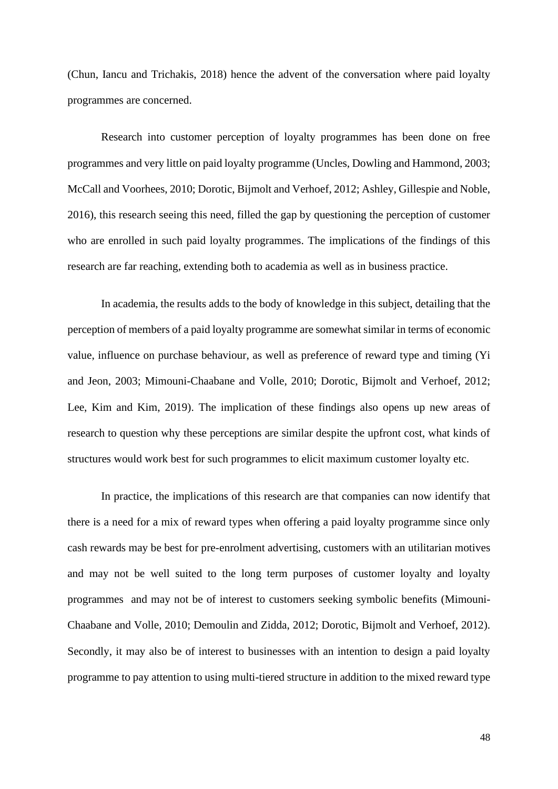(Chun, Iancu and Trichakis, 2018) hence the advent of the conversation where paid loyalty programmes are concerned.

Research into customer perception of loyalty programmes has been done on free programmes and very little on paid loyalty programme (Uncles, Dowling and Hammond, 2003; McCall and Voorhees, 2010; Dorotic, Bijmolt and Verhoef, 2012; Ashley, Gillespie and Noble, 2016), this research seeing this need, filled the gap by questioning the perception of customer who are enrolled in such paid loyalty programmes. The implications of the findings of this research are far reaching, extending both to academia as well as in business practice.

In academia, the results adds to the body of knowledge in this subject, detailing that the perception of members of a paid loyalty programme are somewhat similar in terms of economic value, influence on purchase behaviour, as well as preference of reward type and timing (Yi and Jeon, 2003; Mimouni-Chaabane and Volle, 2010; Dorotic, Bijmolt and Verhoef, 2012; Lee, Kim and Kim, 2019). The implication of these findings also opens up new areas of research to question why these perceptions are similar despite the upfront cost, what kinds of structures would work best for such programmes to elicit maximum customer loyalty etc.

In practice, the implications of this research are that companies can now identify that there is a need for a mix of reward types when offering a paid loyalty programme since only cash rewards may be best for pre-enrolment advertising, customers with an utilitarian motives and may not be well suited to the long term purposes of customer loyalty and loyalty programmes and may not be of interest to customers seeking symbolic benefits (Mimouni-Chaabane and Volle, 2010; Demoulin and Zidda, 2012; Dorotic, Bijmolt and Verhoef, 2012). Secondly, it may also be of interest to businesses with an intention to design a paid loyalty programme to pay attention to using multi-tiered structure in addition to the mixed reward type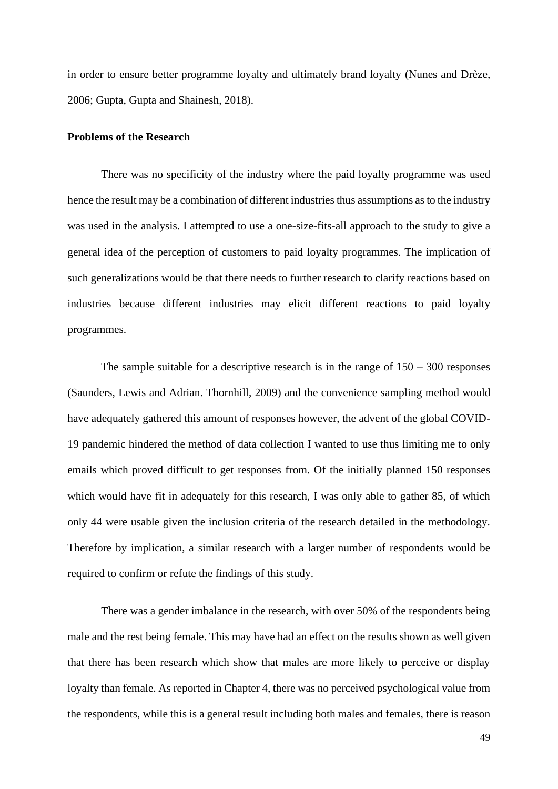in order to ensure better programme loyalty and ultimately brand loyalty (Nunes and Drèze, 2006; Gupta, Gupta and Shainesh, 2018).

#### **Problems of the Research**

There was no specificity of the industry where the paid loyalty programme was used hence the result may be a combination of different industries thus assumptions as to the industry was used in the analysis. I attempted to use a one-size-fits-all approach to the study to give a general idea of the perception of customers to paid loyalty programmes. The implication of such generalizations would be that there needs to further research to clarify reactions based on industries because different industries may elicit different reactions to paid loyalty programmes.

The sample suitable for a descriptive research is in the range of  $150 - 300$  responses (Saunders, Lewis and Adrian. Thornhill, 2009) and the convenience sampling method would have adequately gathered this amount of responses however, the advent of the global COVID-19 pandemic hindered the method of data collection I wanted to use thus limiting me to only emails which proved difficult to get responses from. Of the initially planned 150 responses which would have fit in adequately for this research, I was only able to gather 85, of which only 44 were usable given the inclusion criteria of the research detailed in the methodology. Therefore by implication, a similar research with a larger number of respondents would be required to confirm or refute the findings of this study.

There was a gender imbalance in the research, with over 50% of the respondents being male and the rest being female. This may have had an effect on the results shown as well given that there has been research which show that males are more likely to perceive or display loyalty than female. As reported in Chapter 4, there was no perceived psychological value from the respondents, while this is a general result including both males and females, there is reason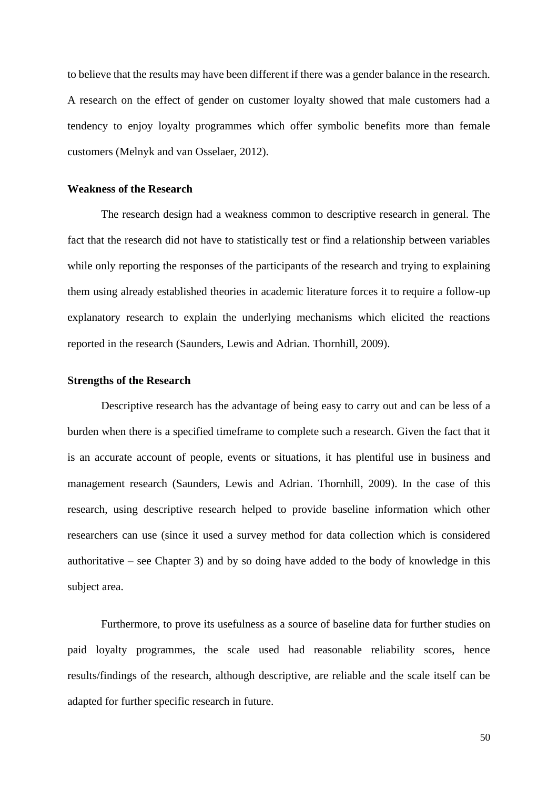to believe that the results may have been different if there was a gender balance in the research. A research on the effect of gender on customer loyalty showed that male customers had a tendency to enjoy loyalty programmes which offer symbolic benefits more than female customers (Melnyk and van Osselaer, 2012).

#### <span id="page-57-0"></span>**Weakness of the Research**

The research design had a weakness common to descriptive research in general. The fact that the research did not have to statistically test or find a relationship between variables while only reporting the responses of the participants of the research and trying to explaining them using already established theories in academic literature forces it to require a follow-up explanatory research to explain the underlying mechanisms which elicited the reactions reported in the research (Saunders, Lewis and Adrian. Thornhill, 2009).

#### <span id="page-57-1"></span>**Strengths of the Research**

Descriptive research has the advantage of being easy to carry out and can be less of a burden when there is a specified timeframe to complete such a research. Given the fact that it is an accurate account of people, events or situations, it has plentiful use in business and management research (Saunders, Lewis and Adrian. Thornhill, 2009). In the case of this research, using descriptive research helped to provide baseline information which other researchers can use (since it used a survey method for data collection which is considered authoritative – see Chapter 3) and by so doing have added to the body of knowledge in this subject area.

Furthermore, to prove its usefulness as a source of baseline data for further studies on paid loyalty programmes, the scale used had reasonable reliability scores, hence results/findings of the research, although descriptive, are reliable and the scale itself can be adapted for further specific research in future.

50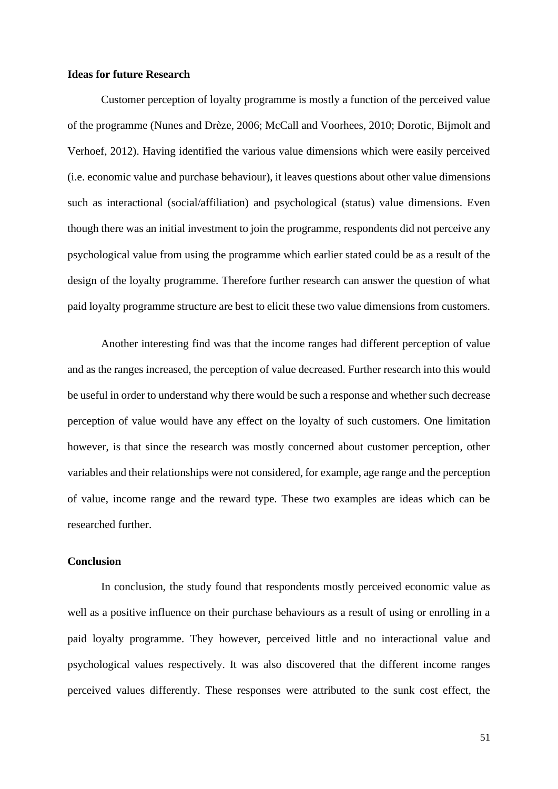#### <span id="page-58-0"></span>**Ideas for future Research**

Customer perception of loyalty programme is mostly a function of the perceived value of the programme (Nunes and Drèze, 2006; McCall and Voorhees, 2010; Dorotic, Bijmolt and Verhoef, 2012). Having identified the various value dimensions which were easily perceived (i.e. economic value and purchase behaviour), it leaves questions about other value dimensions such as interactional (social/affiliation) and psychological (status) value dimensions. Even though there was an initial investment to join the programme, respondents did not perceive any psychological value from using the programme which earlier stated could be as a result of the design of the loyalty programme. Therefore further research can answer the question of what paid loyalty programme structure are best to elicit these two value dimensions from customers.

Another interesting find was that the income ranges had different perception of value and as the ranges increased, the perception of value decreased. Further research into this would be useful in order to understand why there would be such a response and whether such decrease perception of value would have any effect on the loyalty of such customers. One limitation however, is that since the research was mostly concerned about customer perception, other variables and their relationships were not considered, for example, age range and the perception of value, income range and the reward type. These two examples are ideas which can be researched further.

## <span id="page-58-1"></span>**Conclusion**

In conclusion, the study found that respondents mostly perceived economic value as well as a positive influence on their purchase behaviours as a result of using or enrolling in a paid loyalty programme. They however, perceived little and no interactional value and psychological values respectively. It was also discovered that the different income ranges perceived values differently. These responses were attributed to the sunk cost effect, the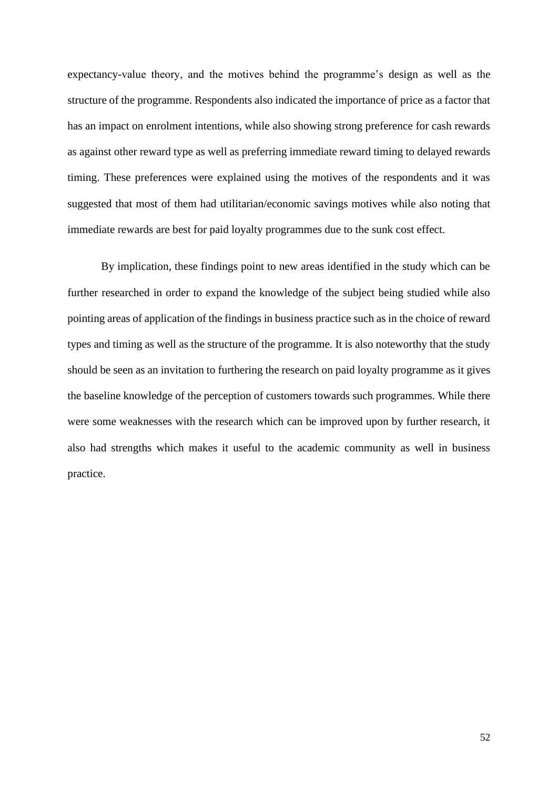expectancy-value theory, and the motives behind the programme's design as well as the structure of the programme. Respondents also indicated the importance of price as a factor that has an impact on enrolment intentions, while also showing strong preference for cash rewards as against other reward type as well as preferring immediate reward timing to delayed rewards timing. These preferences were explained using the motives of the respondents and it was suggested that most of them had utilitarian/economic savings motives while also noting that immediate rewards are best for paid loyalty programmes due to the sunk cost effect.

By implication, these findings point to new areas identified in the study which can be further researched in order to expand the knowledge of the subject being studied while also pointing areas of application of the findings in business practice such as in the choice of reward types and timing as well as the structure of the programme. It is also noteworthy that the study should be seen as an invitation to furthering the research on paid loyalty programme as it gives the baseline knowledge of the perception of customers towards such programmes. While there were some weaknesses with the research which can be improved upon by further research, it also had strengths which makes it useful to the academic community as well in business practice.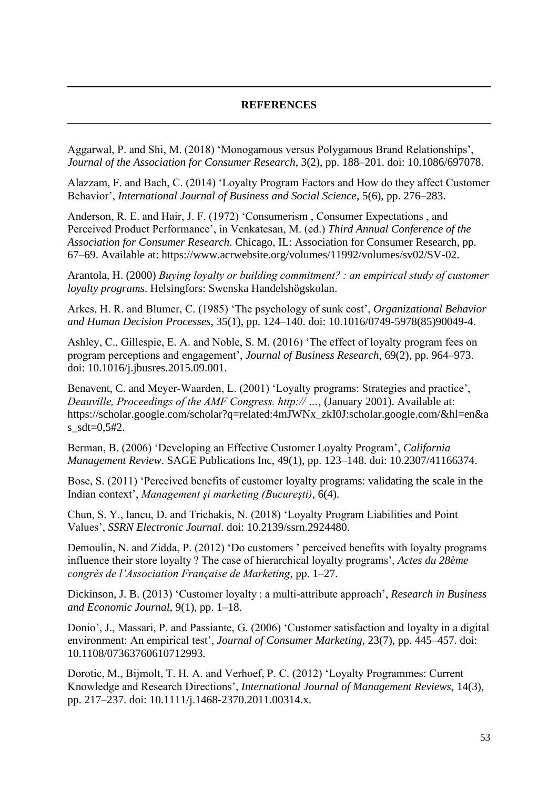#### **REFERENCES**

<span id="page-60-0"></span>Aggarwal, P. and Shi, M. (2018) 'Monogamous versus Polygamous Brand Relationships', *Journal of the Association for Consumer Research*, 3(2), pp. 188–201. doi: 10.1086/697078.

Alazzam, F. and Bach, C. (2014) 'Loyalty Program Factors and How do they affect Customer Behavior', *International Journal of Business and Social Science*, 5(6), pp. 276–283.

Anderson, R. E. and Hair, J. F. (1972) 'Consumerism , Consumer Expectations , and Perceived Product Performance', in Venkatesan, M. (ed.) *Third Annual Conference of the Association for Consumer Research*. Chicago, IL: Association for Consumer Research, pp. 67–69. Available at: https://www.acrwebsite.org/volumes/11992/volumes/sv02/SV-02.

Arantola, H. (2000) *Buying loyalty or building commitment? : an empirical study of customer loyalty programs*. Helsingfors: Swenska Handelshögskolan.

Arkes, H. R. and Blumer, C. (1985) 'The psychology of sunk cost', *Organizational Behavior and Human Decision Processes*, 35(1), pp. 124–140. doi: 10.1016/0749-5978(85)90049-4.

Ashley, C., Gillespie, E. A. and Noble, S. M. (2016) 'The effect of loyalty program fees on program perceptions and engagement', *Journal of Business Research*, 69(2), pp. 964–973. doi: 10.1016/j.jbusres.2015.09.001.

Benavent, C. and Meyer-Waarden, L. (2001) 'Loyalty programs: Strategies and practice', *Deauville, Proceedings of the AMF Congress. http:// …*, (January 2001). Available at: https://scholar.google.com/scholar?q=related:4mJWNx\_zkI0J:scholar.google.com/&hl=en&a s  $sdt=0.5#2$ .

Berman, B. (2006) 'Developing an Effective Customer Loyalty Program', *California Management Review*. SAGE Publications Inc, 49(1), pp. 123–148. doi: 10.2307/41166374.

Bose, S. (2011) 'Perceived benefits of customer loyalty programs: validating the scale in the Indian context', *Management şi marketing (Bucureşti)*, 6(4).

Chun, S. Y., Iancu, D. and Trichakis, N. (2018) 'Loyalty Program Liabilities and Point Values', *SSRN Electronic Journal*. doi: 10.2139/ssrn.2924480.

Demoulin, N. and Zidda, P. (2012) 'Do customers ' perceived benefits with loyalty programs influence their store loyalty ? The case of hierarchical loyalty programs', *Actes du 28ème congrès de l'Association Française de Marketing*, pp. 1–27.

Dickinson, J. B. (2013) 'Customer loyalty : a multi-attribute approach', *Research in Business and Economic Journal*, 9(1), pp. 1–18.

Donio', J., Massari, P. and Passiante, G. (2006) 'Customer satisfaction and loyalty in a digital environment: An empirical test', *Journal of Consumer Marketing*, 23(7), pp. 445–457. doi: 10.1108/07363760610712993.

Dorotic, M., Bijmolt, T. H. A. and Verhoef, P. C. (2012) 'Loyalty Programmes: Current Knowledge and Research Directions', *International Journal of Management Reviews*, 14(3), pp. 217–237. doi: 10.1111/j.1468-2370.2011.00314.x.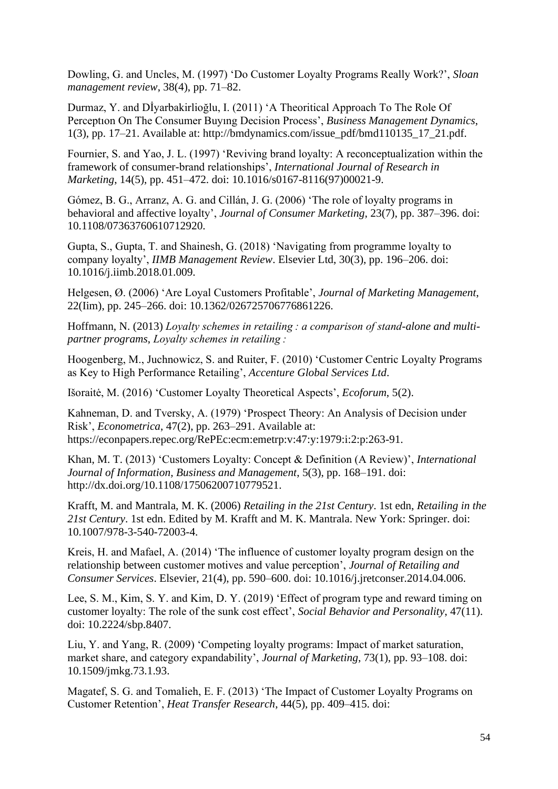Dowling, G. and Uncles, M. (1997) 'Do Customer Loyalty Programs Really Work?', *Sloan management review*, 38(4), pp. 71–82.

Durmaz, Y. and Dİyarbakirlioğlu, I. (2011) 'A Theoritical Approach To The Role Of Perceptıon On The Consumer Buyıng Decision Process', *Business Management Dynamics*, 1(3), pp. 17–21. Available at: http://bmdynamics.com/issue\_pdf/bmd110135\_17\_21.pdf.

Fournier, S. and Yao, J. L. (1997) 'Reviving brand loyalty: A reconceptualization within the framework of consumer-brand relationships', *International Journal of Research in Marketing*, 14(5), pp. 451–472. doi: 10.1016/s0167-8116(97)00021-9.

Gómez, B. G., Arranz, A. G. and Cillán, J. G. (2006) 'The role of loyalty programs in behavioral and affective loyalty', *Journal of Consumer Marketing*, 23(7), pp. 387–396. doi: 10.1108/07363760610712920.

Gupta, S., Gupta, T. and Shainesh, G. (2018) 'Navigating from programme loyalty to company loyalty', *IIMB Management Review*. Elsevier Ltd, 30(3), pp. 196–206. doi: 10.1016/j.iimb.2018.01.009.

Helgesen, Ø. (2006) 'Are Loyal Customers Profitable', *Journal of Marketing Management*, 22(Iim), pp. 245–266. doi: 10.1362/026725706776861226.

Hoffmann, N. (2013) *Loyalty schemes in retailing : a comparison of stand-alone and multipartner programs*, *Loyalty schemes in retailing :*

Hoogenberg, M., Juchnowicz, S. and Ruiter, F. (2010) 'Customer Centric Loyalty Programs as Key to High Performance Retailing', *Accenture Global Services Ltd*.

Išoraitė, M. (2016) 'Customer Loyalty Theoretical Aspects', *Ecoforum*, 5(2).

Kahneman, D. and Tversky, A. (1979) 'Prospect Theory: An Analysis of Decision under Risk', *Econometrica*, 47(2), pp. 263–291. Available at: https://econpapers.repec.org/RePEc:ecm:emetrp:v:47:y:1979:i:2:p:263-91.

Khan, M. T. (2013) 'Customers Loyalty: Concept & Definition (A Review)', *International Journal of Information, Business and Management*, 5(3), pp. 168–191. doi: http://dx.doi.org/10.1108/17506200710779521.

Krafft, M. and Mantrala, M. K. (2006) *Retailing in the 21st Century*. 1st edn, *Retailing in the 21st Century*. 1st edn. Edited by M. Krafft and M. K. Mantrala. New York: Springer. doi: 10.1007/978-3-540-72003-4.

Kreis, H. and Mafael, A. (2014) 'The influence of customer loyalty program design on the relationship between customer motives and value perception', *Journal of Retailing and Consumer Services*. Elsevier, 21(4), pp. 590–600. doi: 10.1016/j.jretconser.2014.04.006.

Lee, S. M., Kim, S. Y. and Kim, D. Y. (2019) 'Effect of program type and reward timing on customer loyalty: The role of the sunk cost effect', *Social Behavior and Personality*, 47(11). doi: 10.2224/sbp.8407.

Liu, Y. and Yang, R. (2009) 'Competing loyalty programs: Impact of market saturation, market share, and category expandability', *Journal of Marketing*, 73(1), pp. 93–108. doi: 10.1509/jmkg.73.1.93.

Magatef, S. G. and Tomalieh, E. F. (2013) 'The Impact of Customer Loyalty Programs on Customer Retention', *Heat Transfer Research*, 44(5), pp. 409–415. doi: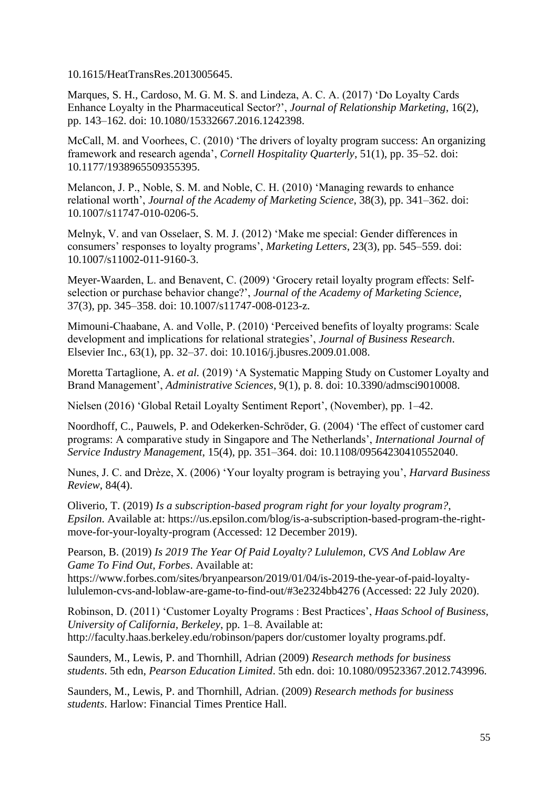10.1615/HeatTransRes.2013005645.

Marques, S. H., Cardoso, M. G. M. S. and Lindeza, A. C. A. (2017) 'Do Loyalty Cards Enhance Loyalty in the Pharmaceutical Sector?', *Journal of Relationship Marketing*, 16(2), pp. 143–162. doi: 10.1080/15332667.2016.1242398.

McCall, M. and Voorhees, C. (2010) 'The drivers of loyalty program success: An organizing framework and research agenda', *Cornell Hospitality Quarterly*, 51(1), pp. 35–52. doi: 10.1177/1938965509355395.

Melancon, J. P., Noble, S. M. and Noble, C. H. (2010) 'Managing rewards to enhance relational worth', *Journal of the Academy of Marketing Science*, 38(3), pp. 341–362. doi: 10.1007/s11747-010-0206-5.

Melnyk, V. and van Osselaer, S. M. J. (2012) 'Make me special: Gender differences in consumers' responses to loyalty programs', *Marketing Letters*, 23(3), pp. 545–559. doi: 10.1007/s11002-011-9160-3.

Meyer-Waarden, L. and Benavent, C. (2009) 'Grocery retail loyalty program effects: Selfselection or purchase behavior change?', *Journal of the Academy of Marketing Science*, 37(3), pp. 345–358. doi: 10.1007/s11747-008-0123-z.

Mimouni-Chaabane, A. and Volle, P. (2010) 'Perceived benefits of loyalty programs: Scale development and implications for relational strategies', *Journal of Business Research*. Elsevier Inc., 63(1), pp. 32–37. doi: 10.1016/j.jbusres.2009.01.008.

Moretta Tartaglione, A. *et al.* (2019) 'A Systematic Mapping Study on Customer Loyalty and Brand Management', *Administrative Sciences*, 9(1), p. 8. doi: 10.3390/admsci9010008.

Nielsen (2016) 'Global Retail Loyalty Sentiment Report', (November), pp. 1–42.

Noordhoff, C., Pauwels, P. and Odekerken-Schröder, G. (2004) 'The effect of customer card programs: A comparative study in Singapore and The Netherlands', *International Journal of Service Industry Management*, 15(4), pp. 351–364. doi: 10.1108/09564230410552040.

Nunes, J. C. and Drèze, X. (2006) 'Your loyalty program is betraying you', *Harvard Business Review*, 84(4).

Oliverio, T. (2019) *Is a subscription-based program right for your loyalty program?*, *Epsilon*. Available at: https://us.epsilon.com/blog/is-a-subscription-based-program-the-rightmove-for-your-loyalty-program (Accessed: 12 December 2019).

Pearson, B. (2019) *Is 2019 The Year Of Paid Loyalty? Lululemon, CVS And Loblaw Are Game To Find Out*, *Forbes*. Available at:

https://www.forbes.com/sites/bryanpearson/2019/01/04/is-2019-the-year-of-paid-loyaltylululemon-cvs-and-loblaw-are-game-to-find-out/#3e2324bb4276 (Accessed: 22 July 2020).

Robinson, D. (2011) 'Customer Loyalty Programs : Best Practices', *Haas School of Business, University of California, Berkeley*, pp. 1–8. Available at: http://faculty.haas.berkeley.edu/robinson/papers dor/customer loyalty programs.pdf.

Saunders, M., Lewis, P. and Thornhill, Adrian (2009) *Research methods for business students*. 5th edn, *Pearson Education Limited*. 5th edn. doi: 10.1080/09523367.2012.743996.

Saunders, M., Lewis, P. and Thornhill, Adrian. (2009) *Research methods for business students*. Harlow: Financial Times Prentice Hall.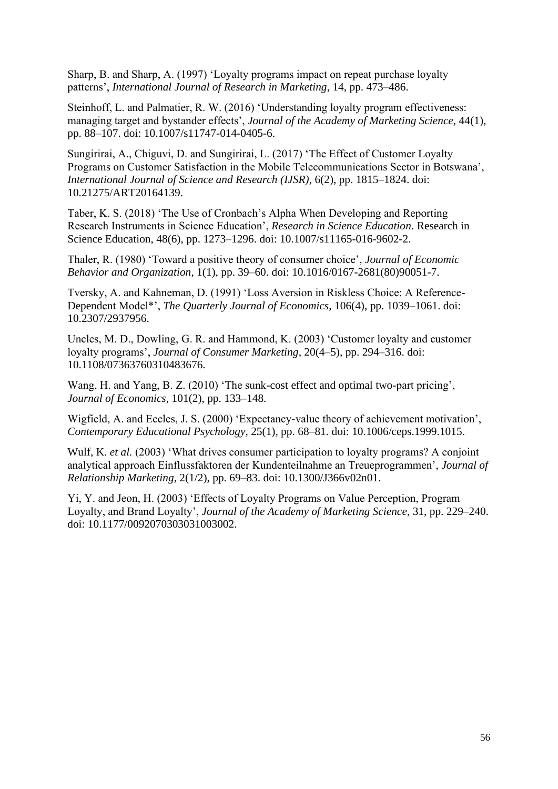Sharp, B. and Sharp, A. (1997) 'Loyalty programs impact on repeat purchase loyalty patterns', *International Journal of Research in Marketing*, 14, pp. 473–486.

Steinhoff, L. and Palmatier, R. W. (2016) 'Understanding loyalty program effectiveness: managing target and bystander effects', *Journal of the Academy of Marketing Science*, 44(1), pp. 88–107. doi: 10.1007/s11747-014-0405-6.

Sungirirai, A., Chiguvi, D. and Sungirirai, L. (2017) 'The Effect of Customer Loyalty Programs on Customer Satisfaction in the Mobile Telecommunications Sector in Botswana', *International Journal of Science and Research (IJSR)*, 6(2), pp. 1815–1824. doi: 10.21275/ART20164139.

Taber, K. S. (2018) 'The Use of Cronbach's Alpha When Developing and Reporting Research Instruments in Science Education', *Research in Science Education*. Research in Science Education, 48(6), pp. 1273–1296. doi: 10.1007/s11165-016-9602-2.

Thaler, R. (1980) 'Toward a positive theory of consumer choice', *Journal of Economic Behavior and Organization*, 1(1), pp. 39–60. doi: 10.1016/0167-2681(80)90051-7.

Tversky, A. and Kahneman, D. (1991) 'Loss Aversion in Riskless Choice: A Reference-Dependent Model\*', *The Quarterly Journal of Economics*, 106(4), pp. 1039–1061. doi: 10.2307/2937956.

Uncles, M. D., Dowling, G. R. and Hammond, K. (2003) 'Customer loyalty and customer loyalty programs', *Journal of Consumer Marketing*, 20(4–5), pp. 294–316. doi: 10.1108/07363760310483676.

Wang, H. and Yang, B. Z. (2010) 'The sunk-cost effect and optimal two-part pricing', *Journal of Economics*, 101(2), pp. 133–148.

Wigfield, A. and Eccles, J. S. (2000) 'Expectancy-value theory of achievement motivation', *Contemporary Educational Psychology*, 25(1), pp. 68–81. doi: 10.1006/ceps.1999.1015.

Wulf, K. *et al.* (2003) 'What drives consumer participation to loyalty programs? A conjoint analytical approach Einflussfaktoren der Kundenteilnahme an Treueprogrammen', *Journal of Relationship Marketing*, 2(1/2), pp. 69–83. doi: 10.1300/J366v02n01.

Yi, Y. and Jeon, H. (2003) 'Effects of Loyalty Programs on Value Perception, Program Loyalty, and Brand Loyalty', *Journal of the Academy of Marketing Science*, 31, pp. 229–240. doi: 10.1177/0092070303031003002.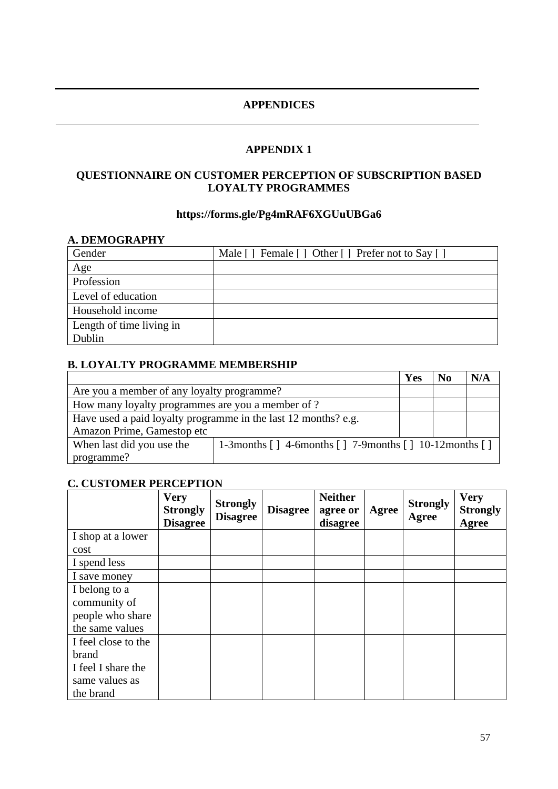## **APPENDICES**

## **APPENDIX 1**

## <span id="page-64-0"></span>**QUESTIONNAIRE ON CUSTOMER PERCEPTION OF SUBSCRIPTION BASED LOYALTY PROGRAMMES**

## **https://forms.gle/Pg4mRAF6XGUuUBGa6**

## **A. DEMOGRAPHY** Gender Male [ ] Female [ ] Other [ ] Prefer not to Say [ ] Age Profession Level of education Household income Length of time living in Dublin

## **B. LOYALTY PROGRAMME MEMBERSHIP**

|                                                                                                       |  | Yes | No | N/A |
|-------------------------------------------------------------------------------------------------------|--|-----|----|-----|
| Are you a member of any loyalty programme?                                                            |  |     |    |     |
| How many loyalty programmes are you a member of ?                                                     |  |     |    |     |
| Have used a paid loyalty programme in the last 12 months? e.g.                                        |  |     |    |     |
| Amazon Prime, Gamestop etc                                                                            |  |     |    |     |
| When last did you use the<br>1-3 months $[ ] 4$ -6 months $[ ] 7$ -9 months $[ ] 10$ -12 months $[ ]$ |  |     |    |     |
| programme?                                                                                            |  |     |    |     |

## **C. CUSTOMER PERCEPTION**

|                     | <b>Very</b><br><b>Strongly</b><br><b>Disagree</b> | <b>Strongly</b><br><b>Disagree</b> | <b>Disagree</b> | <b>Neither</b><br>agree or<br>disagree | Agree | <b>Strongly</b><br>Agree | <b>Very</b><br><b>Strongly</b><br>Agree |
|---------------------|---------------------------------------------------|------------------------------------|-----------------|----------------------------------------|-------|--------------------------|-----------------------------------------|
| I shop at a lower   |                                                   |                                    |                 |                                        |       |                          |                                         |
| cost                |                                                   |                                    |                 |                                        |       |                          |                                         |
| I spend less        |                                                   |                                    |                 |                                        |       |                          |                                         |
| I save money        |                                                   |                                    |                 |                                        |       |                          |                                         |
| I belong to a       |                                                   |                                    |                 |                                        |       |                          |                                         |
| community of        |                                                   |                                    |                 |                                        |       |                          |                                         |
| people who share    |                                                   |                                    |                 |                                        |       |                          |                                         |
| the same values     |                                                   |                                    |                 |                                        |       |                          |                                         |
| I feel close to the |                                                   |                                    |                 |                                        |       |                          |                                         |
| brand               |                                                   |                                    |                 |                                        |       |                          |                                         |
| I feel I share the  |                                                   |                                    |                 |                                        |       |                          |                                         |
| same values as      |                                                   |                                    |                 |                                        |       |                          |                                         |
| the brand           |                                                   |                                    |                 |                                        |       |                          |                                         |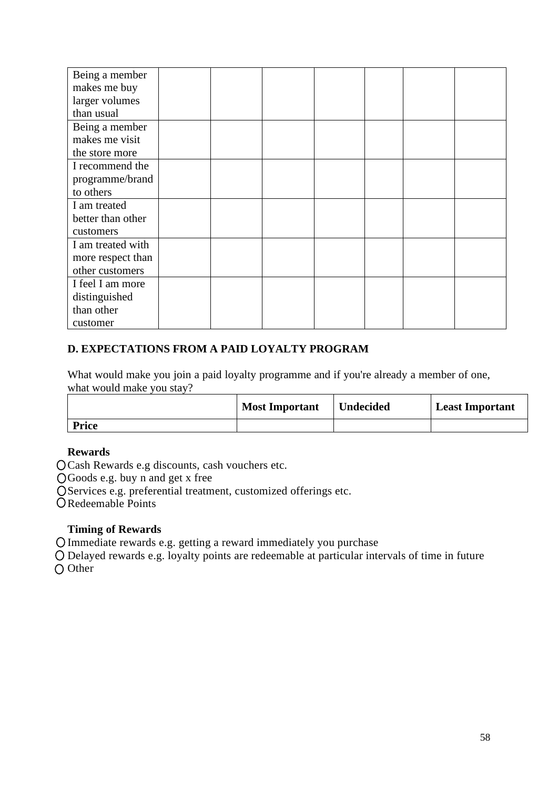| Being a member    |  |  |  |  |
|-------------------|--|--|--|--|
| makes me buy      |  |  |  |  |
| larger volumes    |  |  |  |  |
| than usual        |  |  |  |  |
| Being a member    |  |  |  |  |
| makes me visit    |  |  |  |  |
| the store more    |  |  |  |  |
| I recommend the   |  |  |  |  |
| programme/brand   |  |  |  |  |
| to others         |  |  |  |  |
| I am treated      |  |  |  |  |
| better than other |  |  |  |  |
| customers         |  |  |  |  |
| I am treated with |  |  |  |  |
| more respect than |  |  |  |  |
| other customers   |  |  |  |  |
| I feel I am more  |  |  |  |  |
| distinguished     |  |  |  |  |
| than other        |  |  |  |  |
| customer          |  |  |  |  |

## **D. EXPECTATIONS FROM A PAID LOYALTY PROGRAM**

What would make you join a paid loyalty programme and if you're already a member of one, what would make you stay?

|              | <b>Most Important</b> | <b>Undecided</b> | Least Important |
|--------------|-----------------------|------------------|-----------------|
| <b>Price</b> |                       |                  |                 |

## **Rewards**

Cash Rewards e.g discounts, cash vouchers etc.

Goods e.g. buy n and get x free

OServices e.g. preferential treatment, customized offerings etc.

O Redeemable Points

## **Timing of Rewards**

Immediate rewards e.g. getting a reward immediately you purchase

Delayed rewards e.g. loyalty points are redeemable at particular intervals of time in future O Other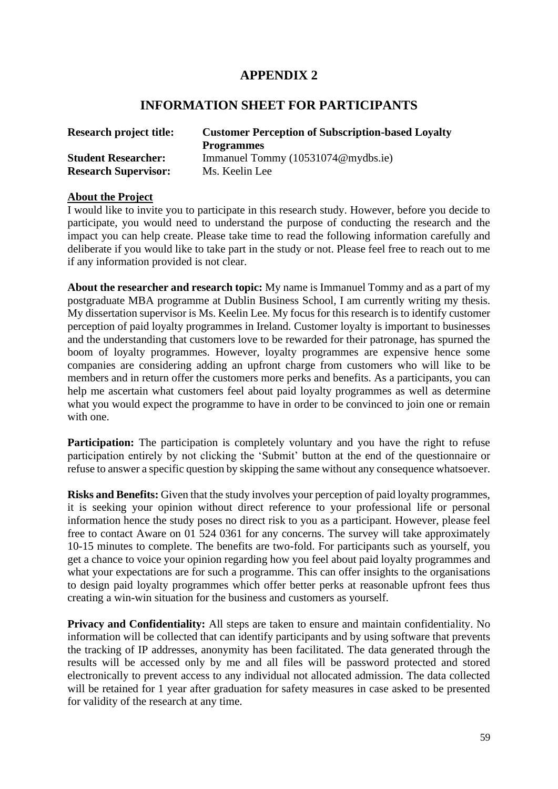## **APPENDIX 2**

## **INFORMATION SHEET FOR PARTICIPANTS**

| <b>Research project title:</b> | <b>Customer Perception of Subscription-based Loyalty</b> |  |  |  |
|--------------------------------|----------------------------------------------------------|--|--|--|
|                                | <b>Programmes</b>                                        |  |  |  |
| <b>Student Researcher:</b>     | Immanuel Tommy (10531074@mydbs.ie)                       |  |  |  |
| <b>Research Supervisor:</b>    | Ms. Keelin Lee                                           |  |  |  |

#### **About the Project**

I would like to invite you to participate in this research study. However, before you decide to participate, you would need to understand the purpose of conducting the research and the impact you can help create. Please take time to read the following information carefully and deliberate if you would like to take part in the study or not. Please feel free to reach out to me if any information provided is not clear.

**About the researcher and research topic:** My name is Immanuel Tommy and as a part of my postgraduate MBA programme at Dublin Business School, I am currently writing my thesis. My dissertation supervisor is Ms. Keelin Lee. My focus for this research is to identify customer perception of paid loyalty programmes in Ireland. Customer loyalty is important to businesses and the understanding that customers love to be rewarded for their patronage, has spurned the boom of loyalty programmes. However, loyalty programmes are expensive hence some companies are considering adding an upfront charge from customers who will like to be members and in return offer the customers more perks and benefits. As a participants, you can help me ascertain what customers feel about paid loyalty programmes as well as determine what you would expect the programme to have in order to be convinced to join one or remain with one.

**Participation:** The participation is completely voluntary and you have the right to refuse participation entirely by not clicking the 'Submit' button at the end of the questionnaire or refuse to answer a specific question by skipping the same without any consequence whatsoever.

**Risks and Benefits:** Given that the study involves your perception of paid loyalty programmes, it is seeking your opinion without direct reference to your professional life or personal information hence the study poses no direct risk to you as a participant. However, please feel free to contact Aware on 01 524 0361 for any concerns. The survey will take approximately 10-15 minutes to complete. The benefits are two-fold. For participants such as yourself, you get a chance to voice your opinion regarding how you feel about paid loyalty programmes and what your expectations are for such a programme. This can offer insights to the organisations to design paid loyalty programmes which offer better perks at reasonable upfront fees thus creating a win-win situation for the business and customers as yourself.

**Privacy and Confidentiality:** All steps are taken to ensure and maintain confidentiality. No information will be collected that can identify participants and by using software that prevents the tracking of IP addresses, anonymity has been facilitated. The data generated through the results will be accessed only by me and all files will be password protected and stored electronically to prevent access to any individual not allocated admission. The data collected will be retained for 1 year after graduation for safety measures in case asked to be presented for validity of the research at any time.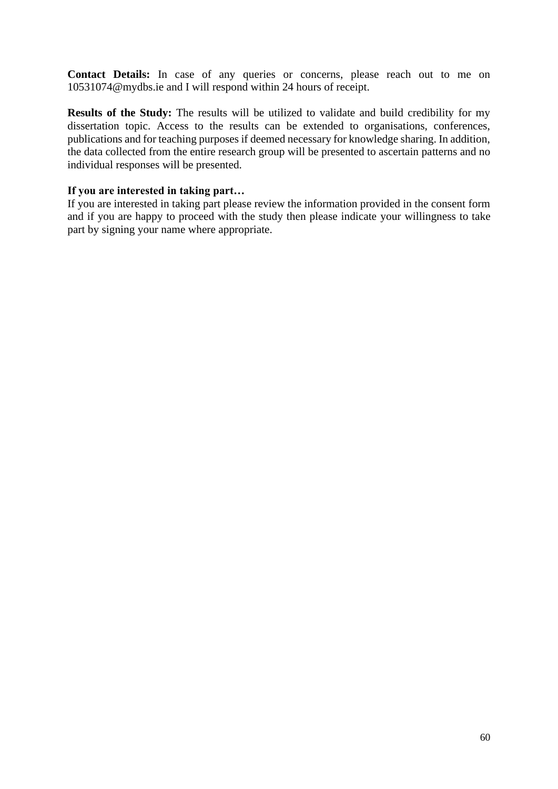**Contact Details:** In case of any queries or concerns, please reach out to me on 10531074@mydbs.ie and I will respond within 24 hours of receipt.

**Results of the Study:** The results will be utilized to validate and build credibility for my dissertation topic. Access to the results can be extended to organisations, conferences, publications and for teaching purposes if deemed necessary for knowledge sharing. In addition, the data collected from the entire research group will be presented to ascertain patterns and no individual responses will be presented.

## **If you are interested in taking part…**

If you are interested in taking part please review the information provided in the consent form and if you are happy to proceed with the study then please indicate your willingness to take part by signing your name where appropriate.